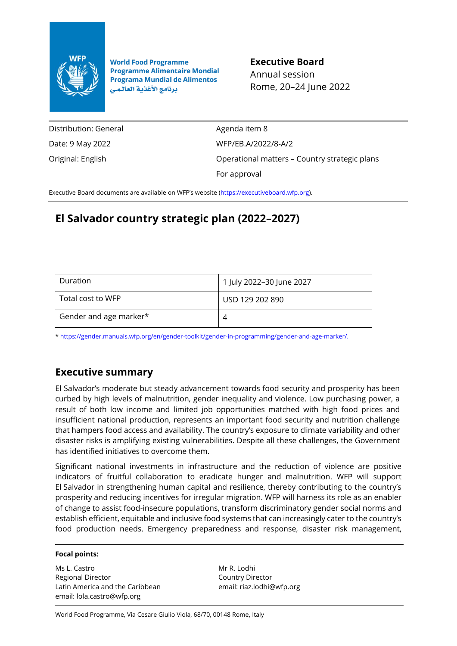

**World Food Programme Programme Alimentaire Mondial Programa Mundial de Alimentos** برنامج الأغذية العالمي

**Executive Board** Annual session Rome, 20–24 June 2022

Distribution: General Date: 9 May 2022 Original: English

Agenda item 8 WFP/EB.A/2022/8-A/2 Operational matters – Country strategic plans For approval

Executive Board documents are available on WFP's website [\(https://executiveboard.wfp.org\)](https://executiveboard.wfp.org/).

# **El Salvador country strategic plan (2022–2027)**

| Duration               | 1 July 2022-30 June 2027 |
|------------------------|--------------------------|
| Total cost to WFP      | USD 129 202 890          |
| Gender and age marker* | 4                        |

[\\* https://gender.manuals.wfp.org/en/gender-toolkit/gender-in-programming/gender-and-age-marker/.](https://gender.manuals.wfp.org/en/gender-toolkit/gender-in-programming/gender-and-age-marker/)

## **Executive summary**

El Salvador's moderate but steady advancement towards food security and prosperity has been curbed by high levels of malnutrition, gender inequality and violence. Low purchasing power, a result of both low income and limited job opportunities matched with high food prices and insufficient national production, represents an important food security and nutrition challenge that hampers food access and availability. The country's exposure to climate variability and other disaster risks is amplifying existing vulnerabilities. Despite all these challenges, the Government has identified initiatives to overcome them.

Significant national investments in infrastructure and the reduction of violence are positive indicators of fruitful collaboration to eradicate hunger and malnutrition. WFP will support El Salvador in strengthening human capital and resilience, thereby contributing to the country's prosperity and reducing incentives for irregular migration. WFP will harness its role as an enabler of change to assist food-insecure populations, transform discriminatory gender social norms and establish efficient, equitable and inclusive food systems that can increasingly cater to the country's food production needs. Emergency preparedness and response, disaster risk management,

#### **Focal points:**

Ms L. Castro Regional Director Latin America and the Caribbean email: lola.castro@wfp.org

Mr R. Lodhi Country Director email: riaz.lodhi@wfp.org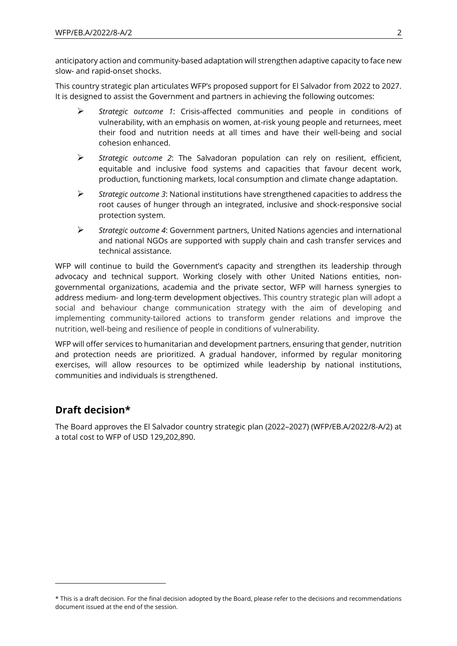anticipatory action and community-based adaptation will strengthen adaptive capacity to face new slow- and rapid-onset shocks.

This country strategic plan articulates WFP's proposed support for El Salvador from 2022 to 2027. It is designed to assist the Government and partners in achieving the following outcomes:

- ➢ *Strategic outcome 1*: Crisis-affected communities and people in conditions of vulnerability, with an emphasis on women, at-risk young people and returnees, meet their food and nutrition needs at all times and have their well-being and social cohesion enhanced.
- ➢ *Strategic outcome 2*: The Salvadoran population can rely on resilient, efficient, equitable and inclusive food systems and capacities that favour decent work, production, functioning markets, local consumption and climate change adaptation.
- ➢ *Strategic outcome 3*: National institutions have strengthened capacities to address the root causes of hunger through an integrated, inclusive and shock-responsive social protection system.
- ➢ *Strategic outcome 4*: Government partners, United Nations agencies and international and national NGOs are supported with supply chain and cash transfer services and technical assistance.

WFP will continue to build the Government's capacity and strengthen its leadership through advocacy and technical support. Working closely with other United Nations entities, nongovernmental organizations, academia and the private sector, WFP will harness synergies to address medium- and long-term development objectives. This country strategic plan will adopt a social and behaviour change communication strategy with the aim of developing and implementing community-tailored actions to transform gender relations and improve the nutrition, well-being and resilience of people in conditions of vulnerability.

WFP will offer services to humanitarian and development partners, ensuring that gender, nutrition and protection needs are prioritized. A gradual handover, informed by regular monitoring exercises, will allow resources to be optimized while leadership by national institutions, communities and individuals is strengthened.

## **Draft decision\***

The Board approves the El Salvador country strategic plan (2022–2027) (WFP/EB.A/2022/8-A/2) at a total cost to WFP of USD 129,202,890.

<sup>\*</sup> This is a draft decision. For the final decision adopted by the Board, please refer to the decisions and recommendations document issued at the end of the session.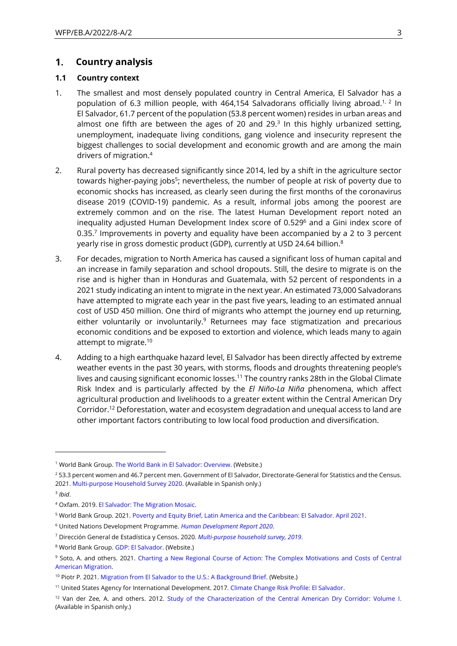#### $1.$ **Country analysis**

### **1.1 Country context**

- 1. The smallest and most densely populated country in Central America, El Salvador has a population of 6.3 million people, with 464,154 Salvadorans officially living abroad.<sup>1, 2</sup> In El Salvador, 61.7 percent of the population (53.8 percent women) resides in urban areas and almost one fifth are between the ages of 20 and 29. $3$  In this highly urbanized setting, unemployment, inadequate living conditions, gang violence and insecurity represent the biggest challenges to social development and economic growth and are among the main drivers of migration.<sup>4</sup>
- 2. Rural poverty has decreased significantly since 2014, led by a shift in the agriculture sector towards higher-paying jobs<sup>5</sup>; nevertheless, the number of people at risk of poverty due to economic shocks has increased, as clearly seen during the first months of the coronavirus disease 2019 (COVID-19) pandemic. As a result, informal jobs among the poorest are extremely common and on the rise. The latest Human Development report noted an inequality adjusted Human Development Index score of 0.529<sup>6</sup> and a Gini index score of 0.35. $<sup>7</sup>$  Improvements in poverty and equality have been accompanied by a 2 to 3 percent</sup> yearly rise in gross domestic product (GDP), currently at USD 24.64 billion.<sup>8</sup>
- 3. For decades, migration to North America has caused a significant loss of human capital and an increase in family separation and school dropouts. Still, the desire to migrate is on the rise and is higher than in Honduras and Guatemala, with 52 percent of respondents in a 2021 study indicating an intent to migrate in the next year. An estimated 73,000 Salvadorans have attempted to migrate each year in the past five years, leading to an estimated annual cost of USD 450 million. One third of migrants who attempt the journey end up returning, either voluntarily or involuntarily.<sup>9</sup> Returnees may face stigmatization and precarious economic conditions and be exposed to extortion and violence, which leads many to again attempt to migrate.<sup>10</sup>
- 4. Adding to a high earthquake hazard level, El Salvador has been directly affected by extreme weather events in the past 30 years, with storms, floods and droughts threatening people's lives and causing significant economic losses.<sup>11</sup> The country ranks 28th in the Global Climate Risk Index and is particularly affected by the *El Niño-La Niña* phenomena, which affect agricultural production and livelihoods to a greater extent within the Central American Dry Corridor. <sup>12</sup> Deforestation, water and ecosystem degradation and unequal access to land are other important factors contributing to low local food production and diversification.

<sup>&</sup>lt;sup>1</sup> World Bank Group[. The World Bank in El Salvador: Overview.](https://www.worldbank.org/en/country/elsalvador/overview#1) (Website.)

<sup>&</sup>lt;sup>2</sup> 53.3 percent women and 46.7 percent men. Government of El Salvador, Directorate-General for Statistics and the Census. 2021[. Multi-purpose Household Survey 2020.](http://www.digestyc.gob.sv/index.php/novedades/avisos/1034-ya-se-encuentra-disponible-la-encuesta-de-hogares-de-propositos-multiples-2020.html) (Available in Spanish only.)

<sup>3</sup> *Ibid*.

<sup>4</sup> Oxfam. 2019[. El Salvador: The Migration Mosaic.](https://oi-files-cng-prod.s3.amazonaws.com/lac.oxfam.org/s3fs-public/file_attachments/El%20Salvador%20The%20Migration%20Mosaic.pdf) 

<sup>5</sup> World Bank Group. 2021[. Poverty and Equity Brief, Latin America and the Caribbean: El Salvador. April 2021.](https://databank.worldbank.org/data/download/poverty/987B9C90-CB9F-4D93-AE8C-750588BF00QA/AM2020/Global_POVEQ_SLV.pdf)

<sup>6</sup> United Nations Development Programme. *[Human Development Report 2020](https://hdr.undp.org/sites/default/files/hdr2020.pdf)*.

<sup>7</sup> Dirección General de Estadística y Censos. 2020. *[Multi-purpose household survey, 2019](http://www.digestyc.gob.sv/index.php/novedades/avisos/965-ya-se-encuentra-disponible-la-encuesta-de-hogares-de-propositos-multiples-2019.html)*.

<sup>8</sup> World Bank Group[. GDP: El Salvador.](https://data.worldbank.org/indicator/NY.GDP.MKTP.CD?locations=SV&most_recent_value_desc=true) (Website.)

<sup>9</sup> Soto, A. and others. 2021. [Charting a New Regional Course of Action: The Complex Motivations](https://www.migrationpolicy.org/sites/default/files/publications/mpi-wfp-mit_migration-motivations-costs_final.pdf) and Costs of Central [American Migration.](https://www.migrationpolicy.org/sites/default/files/publications/mpi-wfp-mit_migration-motivations-costs_final.pdf)

<sup>&</sup>lt;sup>10</sup> Piotr P. 2021. [Migration from El Salvador to the U.S.: A Background Brief.](https://igs.duke.edu/news/migration-el-salvador-us-background-brief) (Website.)

<sup>11</sup> United States Agency for International Development. 2017[. Climate Change Risk Profile: El Salvador.](https://www.climatelinks.org/resources/climate-risk-profile-el-salvador) 

<sup>&</sup>lt;sup>12</sup> Van der Zee, A. and others. 2012. [Study of the Characterization of the Central American Dry Corridor: Volume I.](https://reliefweb.int/sites/reliefweb.int/files/resources/tomo_i_corredor_seco.pdf) (Available in Spanish only.)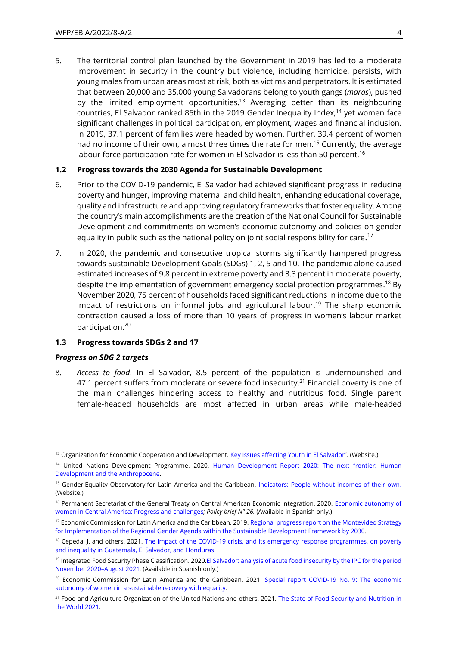5. The territorial control plan launched by the Government in 2019 has led to a moderate improvement in security in the country but violence, including homicide, persists, with young males from urban areas most at risk, both as victims and perpetrators. It is estimated that between 20,000 and 35,000 young Salvadorans belong to youth gangs (*maras*), pushed by the limited employment opportunities.<sup>13</sup> Averaging better than its neighbouring countries, El Salvador ranked 85th in the 2019 Gender Inequality Index,<sup>14</sup> yet women face significant challenges in political participation, employment, wages and financial inclusion. In 2019, 37.1 percent of families were headed by women. Further, 39.4 percent of women had no income of their own, almost three times the rate for men.<sup>15</sup> Currently, the average labour force participation rate for women in El Salvador is less than 50 percent.<sup>16</sup>

#### **1.2 Progress towards the 2030 Agenda for Sustainable Development**

- 6. Prior to the COVID-19 pandemic, El Salvador had achieved significant progress in reducing poverty and hunger, improving maternal and child health, enhancing educational coverage, quality and infrastructure and approving regulatory frameworks that foster equality. Among the country's main accomplishments are the creation of the National Council for Sustainable Development and commitments on women's economic autonomy and policies on gender equality in public such as the national policy on joint social responsibility for care.<sup>17</sup>
- 7. In 2020, the pandemic and consecutive tropical storms significantly hampered progress towards Sustainable Development Goals (SDGs) 1, 2, 5 and 10. The pandemic alone caused estimated increases of 9.8 percent in extreme poverty and 3.3 percent in moderate poverty, despite the implementation of government emergency social protection programmes. <sup>18</sup> By November 2020, 75 percent of households faced significant reductions in income due to the impact of restrictions on informal jobs and agricultural labour.<sup>19</sup> The sharp economic contraction caused a loss of more than 10 years of progress in women's labour market participation.<sup>20</sup>

#### **1.3 Progress towards SDGs 2 and 17**

#### *Progress on SDG 2 targets*

8. *Access to food*. In El Salvador, 8.5 percent of the population is undernourished and 47.1 percent suffers from moderate or severe food insecurity.<sup>21</sup> Financial poverty is one of the main challenges hindering access to healthy and nutritious food. Single parent female-headed households are most affected in urban areas while male-headed

<sup>&</sup>lt;sup>13</sup> Organization for Economic Cooperation and Development[. Key Issues affecting Youth in El Salvador](https://www.oecd.org/dev/inclusivesocietiesanddevelopment/youth-issues-in-el-salvador.htm)". (Website.)

<sup>&</sup>lt;sup>14</sup> United Nations Development Programme. 2020. Human Development Report 2020: The next frontier: Human [Development and the Anthropocene.](http://hdr.undp.org/sites/default/files/hdr2020.pdf)

<sup>&</sup>lt;sup>15</sup> Gender Equality Observatory for Latin America and the Caribbean. [Indicators: People without incomes of their own.](https://oig.cepal.org/en/indicators/people-without-incomes-their-own) (Website.)

<sup>&</sup>lt;sup>16</sup> Permanent Secretariat of the General Treaty on Central American Economic Integration. 2020. Economic autonomy of [women in Central America: Progress and challenges](http://estadisticas.sieca.int/documentos/ver/PB%20N%C2%B026_Autonomia.pdf)*; Policy brief N° 26.* (Available in Spanish only.)

<sup>&</sup>lt;sup>17</sup> Economic Commission for Latin America and the Caribbean. 2019. Regional progress report on the Montevideo Strategy [for Implementation of the Regional Gender Agenda within the Sustainable Development Framework by 2030.](https://repositorio.cepal.org/bitstream/handle/11362/44957/S1900847_en.pdf?sequence=4)

<sup>&</sup>lt;sup>18</sup> Cepeda, J. and others. 2021. The impact of the COVID-19 crisis, and its emergency response programmes, on poverty [and inequality in Guatemala, El Salvador, and Honduras.](http://southernvoice.org/the-impact-of-the-covid-19-crisis-and-its-emergency-response-programmes-on-poverty-and-inequality-in-guatemala-el-salvador-and-honduras/)

<sup>19</sup> Integrated Food Security Phase Classification. 2020.El Salvador: analysis of acute food insecurity by the IPC for the period [November 2020](https://www.sica.int/documentos/informe-del-analisis-de-inseguridad-alimentaria-aguda-de-la-cif-el-salvador-noviembre-2020-agosto-2021_1_125920.html)–August 2021*.* (Available in Spanish only.)

<sup>&</sup>lt;sup>20</sup> Economic Commission for Latin America and the Caribbean. 2021. Special report COVID-19 No. 9: The economic [autonomy of women in a sustainable recovery with equality.](https://oig.cepal.org/sites/default/files/s2000739_en.pdf)

<sup>&</sup>lt;sup>21</sup> Food and Agriculture Organization of the United Nations and others. 2021. The State of Food Security and Nutrition in [the World 2021.](https://www.fao.org/documents/card/en/c/cb4474en)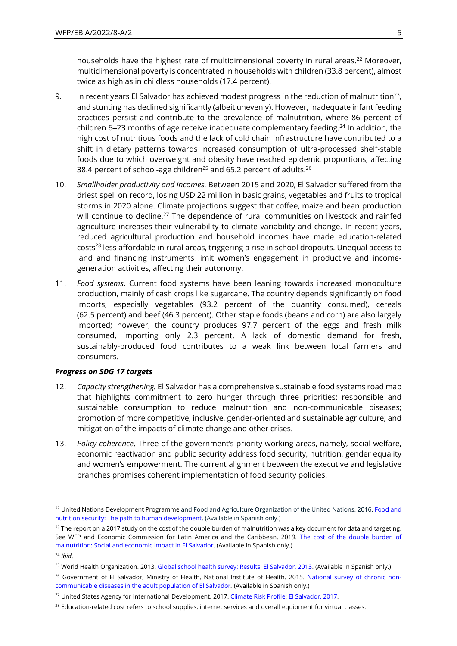households have the highest rate of multidimensional poverty in rural areas.<sup>22</sup> Moreover, multidimensional poverty is concentrated in households with children (33.8 percent), almost twice as high as in childless households (17.4 percent).

- 9. In recent years El Salvador has achieved modest progress in the reduction of malnutrition<sup>23</sup>, and stunting has declined significantly (albeit unevenly). However, inadequate infant feeding practices persist and contribute to the prevalence of malnutrition, where 86 percent of children 6–23 months of age receive inadequate complementary feeding.<sup>24</sup> In addition, the high cost of nutritious foods and the lack of cold chain infrastructure have contributed to a shift in dietary patterns towards increased consumption of ultra-processed shelf-stable foods due to which overweight and obesity have reached epidemic proportions, affecting 38.4 percent of school-age children<sup>25</sup> and 65.2 percent of adults.<sup>26</sup>
- 10. *Smallholder productivity and incomes.* Between 2015 and 2020, El Salvador suffered from the driest spell on record, losing USD 22 million in basic grains, vegetables and fruits to tropical storms in 2020 alone. Climate projections suggest that coffee, maize and bean production will continue to decline.<sup>27</sup> The dependence of rural communities on livestock and rainfed agriculture increases their vulnerability to climate variability and change. In recent years, reduced agricultural production and household incomes have made education-related costs<sup>28</sup> less affordable in rural areas, triggering a rise in school dropouts. Unequal access to land and financing instruments limit women's engagement in productive and incomegeneration activities, affecting their autonomy.
- 11. *Food systems*. Current food systems have been leaning towards increased monoculture production, mainly of cash crops like sugarcane. The country depends significantly on food imports, especially vegetables (93.2 percent of the quantity consumed), cereals (62.5 percent) and beef (46.3 percent). Other staple foods (beans and corn) are also largely imported; however, the country produces 97.7 percent of the eggs and fresh milk consumed, importing only 2.3 percent. A lack of domestic demand for fresh, sustainably-produced food contributes to a weak link between local farmers and consumers.

#### *Progress on SDG 17 targets*

- 12. *Capacity strengthening.* El Salvador has a comprehensive sustainable food systems road map that highlights commitment to zero hunger through three priorities: responsible and sustainable consumption to reduce malnutrition and non-communicable diseases; promotion of more competitive, inclusive, gender-oriented and sustainable agriculture; and mitigation of the impacts of climate change and other crises.
- 13. *Policy coherence*. Three of the government's priority working areas, namely, social welfare, economic reactivation and public security address food security, nutrition, gender equality and women's empowerment. The current alignment between the executive and legislative branches promises coherent implementation of food security policies.

<sup>&</sup>lt;sup>22</sup> United Nations Development Programme and Food and Agriculture Organization of the United Nations. 2016. Food and [nutrition security: The path to human development.](https://www.sv.undp.org/content/el_salvador/es/home/library/hiv_aids/seguridad-alimentaria-y-nutricional--camino-hacia-el-desarrollo-.html) (Available in Spanish only.)

 $23$  The report on a 2017 study on the cost of the double burden of malnutrition was a key document for data and targeting. See WFP and Economic Commission for Latin America and the Caribbean. 2019. [The cost of the double burden of](https://es.wfp.org/publicaciones/el-costo-de-la-doble-carga-de-la-malnutricion-el-salvador)  [malnutrition: Social and economic impact in El Salvador.](https://es.wfp.org/publicaciones/el-costo-de-la-doble-carga-de-la-malnutricion-el-salvador) (Available in Spanish only.)

<sup>24</sup> *Ibid*.

<sup>25</sup> World Health Organization. 2013[. Global school health survey: Results: El Salvador, 2013.](https://www.who.int/ncds/surveillance/gshs/El-Salvador-GSHS-2013-report.pdf) (Available in Spanish only.)

<sup>&</sup>lt;sup>26</sup> Government of El Salvador, Ministry of Health, National Institute of Health. 2015. [National survey of chronic non](https://pesquisa.bvsalud.org/portal/resource/pt/biblio-1099978)[communicable diseases in the adult population of El Salvador](https://pesquisa.bvsalud.org/portal/resource/pt/biblio-1099978)*.* (Available in Spanish only.)

<sup>27</sup> United States Agency for International Development. 2017[. Climate Risk Profile: El Salvador, 2017.](https://www.climatelinks.org/resources/climate-risk-profile-el-salvador) 

<sup>&</sup>lt;sup>28</sup> Education-related cost refers to school supplies, internet services and overall equipment for virtual classes.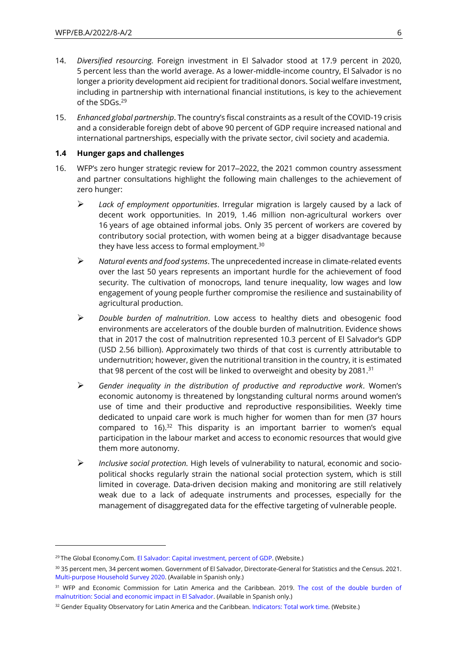- 14. *Diversified resourcing.* Foreign investment in El Salvador stood at 17.9 percent in 2020, 5 percent less than the world average. As a lower-middle-income country, El Salvador is no longer a priority development aid recipient for traditional donors. Social welfare investment, including in partnership with international financial institutions, is key to the achievement of the SDGs.<sup>29</sup>
- 15. *Enhanced global partnership*. The country's fiscal constraints as a result of the COVID-19 crisis and a considerable foreign debt of above 90 percent of GDP require increased national and international partnerships, especially with the private sector, civil society and academia.

### **1.4 Hunger gaps and challenges**

- 16. WFP's zero hunger strategic review for 2017–2022, the 2021 common country assessment and partner consultations highlight the following main challenges to the achievement of zero hunger:
	- ➢ *Lack of employment opportunities*. Irregular migration is largely caused by a lack of decent work opportunities. In 2019, 1.46 million non-agricultural workers over 16 years of age obtained informal jobs. Only 35 percent of workers are covered by contributory social protection, with women being at a bigger disadvantage because they have less access to formal employment.<sup>30</sup>
	- ➢ *Natural events and food systems*. The unprecedented increase in climate-related events over the last 50 years represents an important hurdle for the achievement of food security. The cultivation of monocrops, land tenure inequality, low wages and low engagement of young people further compromise the resilience and sustainability of agricultural production.
	- ➢ *Double burden of malnutrition*. Low access to healthy diets and obesogenic food environments are accelerators of the double burden of malnutrition. Evidence shows that in 2017 the cost of malnutrition represented 10.3 percent of El Salvador's GDP (USD 2.56 billion). Approximately two thirds of that cost is currently attributable to undernutrition; however, given the nutritional transition in the country, it is estimated that 98 percent of the cost will be linked to overweight and obesity by 2081.<sup>31</sup>
	- ➢ *Gender inequality in the distribution of productive and reproductive work*. Women's economic autonomy is threatened by longstanding cultural norms around women's use of time and their productive and reproductive responsibilities. Weekly time dedicated to unpaid care work is much higher for women than for men (37 hours compared to  $16$ ).<sup>32</sup> This disparity is an important barrier to women's equal participation in the labour market and access to economic resources that would give them more autonomy.
	- ➢ *Inclusive social protection.* High levels of vulnerability to natural, economic and sociopolitical shocks regularly strain the national social protection system, which is still limited in coverage. Data-driven decision making and monitoring are still relatively weak due to a lack of adequate instruments and processes, especially for the management of disaggregated data for the effective targeting of vulnerable people.

<sup>&</sup>lt;sup>29</sup> The Global Economy.Com. [El Salvador: Capital investment, percent of GDP.](https://www.theglobaleconomy.com/El-Salvador/capital_investment/) (Website.)

<sup>30</sup> 35 percent men, 34 percent women. Government of El Salvador, Directorate-General for Statistics and the Census. 2021. [Multi-purpose Household](http://www.digestyc.gob.sv/index.php/novedades/avisos/1034-ya-se-encuentra-disponible-la-encuesta-de-hogares-de-propositos-multiples-2020.html) Survey 2020. (Available in Spanish only.)

<sup>&</sup>lt;sup>31</sup> WFP and Economic Commission for Latin America and the Caribbean. 2019. The cost of the double burden of [malnutrition: Social and economic impact in El Salvador.](https://es.wfp.org/publicaciones/el-costo-de-la-doble-carga-de-la-malnutricion-el-salvador) (Available in Spanish only.)

<sup>32</sup> Gender Equality Observatory for Latin America and the Caribbean. [Indicators: Total work time](https://oig.cepal.org/en/indicators/total-work-time)*.* (Website.)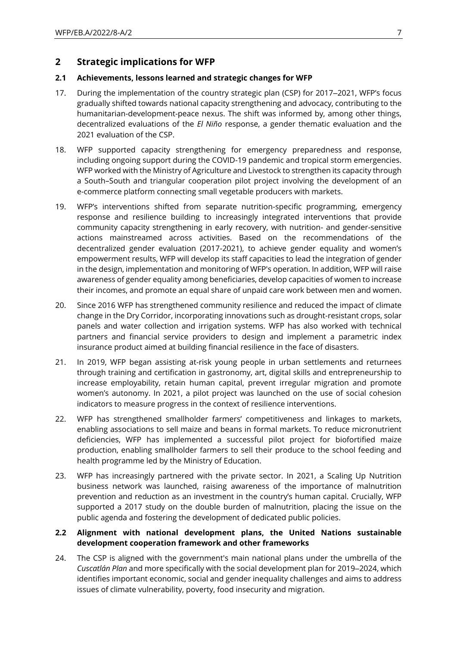## **2 Strategic implications for WFP**

### **2.1 Achievements, lessons learned and strategic changes for WFP**

- 17. During the implementation of the country strategic plan (CSP) for 2017–2021, WFP's focus gradually shifted towards national capacity strengthening and advocacy, contributing to the humanitarian-development-peace nexus. The shift was informed by, among other things, decentralized evaluations of the *El Niño* response, a gender thematic evaluation and the 2021 evaluation of the CSP.
- 18. WFP supported capacity strengthening for emergency preparedness and response, including ongoing support during the COVID-19 pandemic and tropical storm emergencies. WFP worked with the Ministry of Agriculture and Livestock to strengthen its capacity through a South–South and triangular cooperation pilot project involving the development of an e-commerce platform connecting small vegetable producers with markets.
- 19. WFP's interventions shifted from separate nutrition-specific programming, emergency response and resilience building to increasingly integrated interventions that provide community capacity strengthening in early recovery, with nutrition- and gender-sensitive actions mainstreamed across activities. Based on the recommendations of the decentralized gender evaluation (2017-2021), to achieve gender equality and women's empowerment results, WFP will develop its staff capacities to lead the integration of gender in the design, implementation and monitoring of WFP's operation. In addition, WFP will raise awareness of gender equality among beneficiaries, develop capacities of women to increase their incomes, and promote an equal share of unpaid care work between men and women.
- 20. Since 2016 WFP has strengthened community resilience and reduced the impact of climate change in the Dry Corridor, incorporating innovations such as drought-resistant crops, solar panels and water collection and irrigation systems. WFP has also worked with technical partners and financial service providers to design and implement a parametric index insurance product aimed at building financial resilience in the face of disasters.
- 21. In 2019, WFP began assisting at-risk young people in urban settlements and returnees through training and certification in gastronomy, art, digital skills and entrepreneurship to increase employability, retain human capital, prevent irregular migration and promote women's autonomy. In 2021, a pilot project was launched on the use of social cohesion indicators to measure progress in the context of resilience interventions.
- 22. WFP has strengthened smallholder farmers' competitiveness and linkages to markets, enabling associations to sell maize and beans in formal markets. To reduce micronutrient deficiencies, WFP has implemented a successful pilot project for biofortified maize production, enabling smallholder farmers to sell their produce to the school feeding and health programme led by the Ministry of Education.
- 23. WFP has increasingly partnered with the private sector. In 2021, a Scaling Up Nutrition business network was launched, raising awareness of the importance of malnutrition prevention and reduction as an investment in the country's human capital. Crucially, WFP supported a 2017 study on the double burden of malnutrition, placing the issue on the public agenda and fostering the development of dedicated public policies.

### **2.2 Alignment with national development plans, the United Nations sustainable development cooperation framework and other frameworks**

24. The CSP is aligned with the government's main national plans under the umbrella of the *Cuscatlán Plan* and more specifically with the social development plan for 2019–2024, which identifies important economic, social and gender inequality challenges and aims to address issues of climate vulnerability, poverty, food insecurity and migration.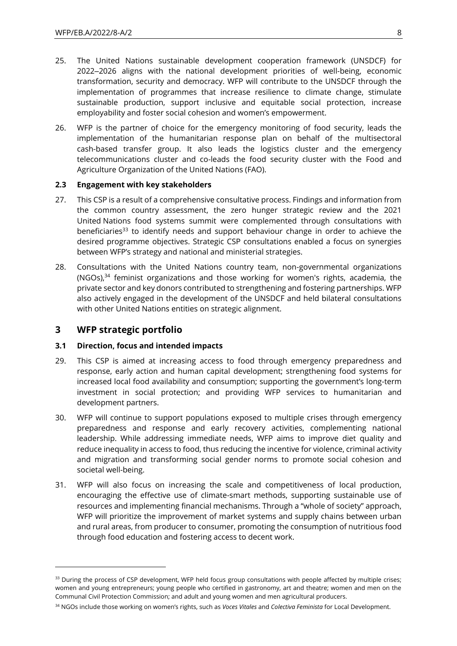- 25. The United Nations sustainable development cooperation framework (UNSDCF) for 2022‒2026 aligns with the national development priorities of well-being, economic transformation, security and democracy. WFP will contribute to the UNSDCF through the implementation of programmes that increase resilience to climate change, stimulate sustainable production, support inclusive and equitable social protection, increase employability and foster social cohesion and women's empowerment.
- 26. WFP is the partner of choice for the emergency monitoring of food security, leads the implementation of the humanitarian response plan on behalf of the multisectoral cash-based transfer group. It also leads the logistics cluster and the emergency telecommunications cluster and co-leads the food security cluster with the Food and Agriculture Organization of the United Nations (FAO).

### **2.3 Engagement with key stakeholders**

- 27. This CSP is a result of a comprehensive consultative process. Findings and information from the common country assessment, the zero hunger strategic review and the 2021 United Nations food systems summit were complemented through consultations with beneficiaries<sup>33</sup> to identify needs and support behaviour change in order to achieve the desired programme objectives. Strategic CSP consultations enabled a focus on synergies between WFP's strategy and national and ministerial strategies.
- 28. Consultations with the United Nations country team, non-governmental organizations (NGOs), <sup>34</sup> feminist organizations and those working for women's rights, academia, the private sector and key donors contributed to strengthening and fostering partnerships. WFP also actively engaged in the development of the UNSDCF and held bilateral consultations with other United Nations entities on strategic alignment.

### **3 WFP strategic portfolio**

#### **3.1 Direction, focus and intended impacts**

- 29. This CSP is aimed at increasing access to food through emergency preparedness and response, early action and human capital development; strengthening food systems for increased local food availability and consumption; supporting the government's long-term investment in social protection; and providing WFP services to humanitarian and development partners.
- 30. WFP will continue to support populations exposed to multiple crises through emergency preparedness and response and early recovery activities, complementing national leadership. While addressing immediate needs, WFP aims to improve diet quality and reduce inequality in access to food, thus reducing the incentive for violence, criminal activity and migration and transforming social gender norms to promote social cohesion and societal well-being.
- 31. WFP will also focus on increasing the scale and competitiveness of local production, encouraging the effective use of climate-smart methods, supporting sustainable use of resources and implementing financial mechanisms. Through a "whole of society" approach, WFP will prioritize the improvement of market systems and supply chains between urban and rural areas, from producer to consumer, promoting the consumption of nutritious food through food education and fostering access to decent work.

<sup>&</sup>lt;sup>33</sup> During the process of CSP development, WFP held focus group consultations with people affected by multiple crises; women and young entrepreneurs; young people who certified in gastronomy, art and theatre; women and men on the Communal Civil Protection Commission; and adult and young women and men agricultural producers.

<sup>34</sup> NGOs include those working on women's rights, such as *Voces Vitales* and *Colectiva Feminista* for Local Development.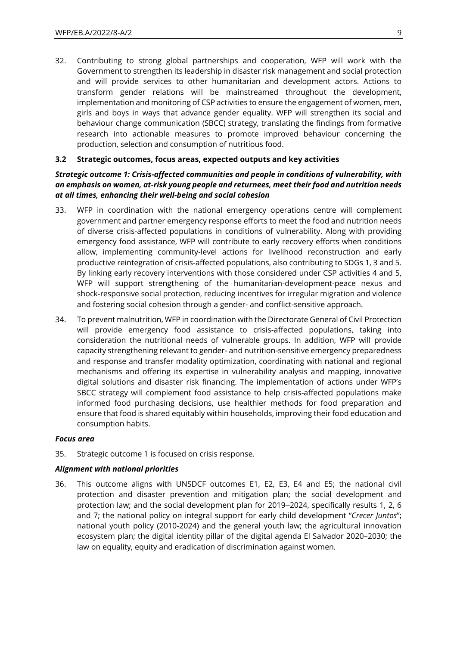32. Contributing to strong global partnerships and cooperation, WFP will work with the Government to strengthen its leadership in disaster risk management and social protection and will provide services to other humanitarian and development actors. Actions to transform gender relations will be mainstreamed throughout the development, implementation and monitoring of CSP activities to ensure the engagement of women, men, girls and boys in ways that advance gender equality. WFP will strengthen its social and behaviour change communication (SBCC) strategy, translating the findings from formative research into actionable measures to promote improved behaviour concerning the production, selection and consumption of nutritious food.

#### **3.2 Strategic outcomes, focus areas, expected outputs and key activities**

### *Strategic outcome 1: Crisis-affected communities and people in conditions of vulnerability, with an emphasis on women, at-risk young people and returnees, meet their food and nutrition needs at all times, enhancing their well-being and social cohesion*

- 33. WFP in coordination with the national emergency operations centre will complement government and partner emergency response efforts to meet the food and nutrition needs of diverse crisis-affected populations in conditions of vulnerability. Along with providing emergency food assistance, WFP will contribute to early recovery efforts when conditions allow, implementing community-level actions for livelihood reconstruction and early productive reintegration of crisis-affected populations, also contributing to SDGs 1, 3 and 5. By linking early recovery interventions with those considered under CSP activities 4 and 5, WFP will support strengthening of the humanitarian-development-peace nexus and shock-responsive social protection, reducing incentives for irregular migration and violence and fostering social cohesion through a gender- and conflict-sensitive approach.
- 34. To prevent malnutrition, WFP in coordination with the Directorate General of Civil Protection will provide emergency food assistance to crisis-affected populations, taking into consideration the nutritional needs of vulnerable groups. In addition, WFP will provide capacity strengthening relevant to gender- and nutrition-sensitive emergency preparedness and response and transfer modality optimization, coordinating with national and regional mechanisms and offering its expertise in vulnerability analysis and mapping, innovative digital solutions and disaster risk financing. The implementation of actions under WFP's SBCC strategy will complement food assistance to help crisis-affected populations make informed food purchasing decisions, use healthier methods for food preparation and ensure that food is shared equitably within households, improving their food education and consumption habits.

#### *Focus area*

35. Strategic outcome 1 is focused on crisis response.

#### *Alignment with national priorities*

36. This outcome aligns with UNSDCF outcomes E1, E2, E3, E4 and E5; the national civil protection and disaster prevention and mitigation plan; the social development and protection law; and the social development plan for 2019–2024, specifically results 1, 2, 6 and 7; the national policy on integral support for early child development "*Crecer Juntos*"; national youth policy (2010-2024) and the general youth law; the agricultural innovation ecosystem plan; the digital identity pillar of the digital agenda El Salvador 2020–2030; the law on equality, equity and eradication of discrimination against women*.*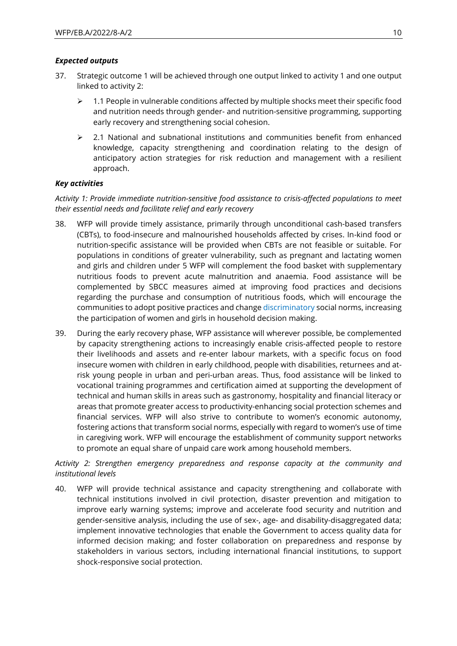### *Expected outputs*

- 37. Strategic outcome 1 will be achieved through one output linked to activity 1 and one output linked to activity 2:
	- $\geq 1.1$  People in vulnerable conditions affected by multiple shocks meet their specific food and nutrition needs through gender- and nutrition-sensitive programming, supporting early recovery and strengthening social cohesion.
	- $\geq$  2.1 National and subnational institutions and communities benefit from enhanced knowledge, capacity strengthening and coordination relating to the design of anticipatory action strategies for risk reduction and management with a resilient approach.

### *Key activities*

*Activity 1: Provide immediate nutrition-sensitive food assistance to crisis-affected populations to meet their essential needs and facilitate relief and early recovery*

- 38. WFP will provide timely assistance, primarily through unconditional cash-based transfers (CBTs), to food-insecure and malnourished households affected by crises. In-kind food or nutrition-specific assistance will be provided when CBTs are not feasible or suitable. For populations in conditions of greater vulnerability, such as pregnant and lactating women and girls and children under 5 WFP will complement the food basket with supplementary nutritious foods to prevent acute malnutrition and anaemia. Food assistance will be complemented by SBCC measures aimed at improving food practices and decisions regarding the purchase and consumption of nutritious foods, which will encourage the communities to adopt positive practices and change discriminatory social norms, increasing the participation of women and girls in household decision making.
- 39. During the early recovery phase, WFP assistance will wherever possible, be complemented by capacity strengthening actions to increasingly enable crisis-affected people to restore their livelihoods and assets and re-enter labour markets, with a specific focus on food insecure women with children in early childhood, people with disabilities, returnees and atrisk young people in urban and peri-urban areas. Thus, food assistance will be linked to vocational training programmes and certification aimed at supporting the development of technical and human skills in areas such as gastronomy, hospitality and financial literacy or areas that promote greater access to productivity-enhancing social protection schemes and financial services. WFP will also strive to contribute to women's economic autonomy, fostering actions that transform social norms, especially with regard to women's use of time in caregiving work. WFP will encourage the establishment of community support networks to promote an equal share of unpaid care work among household members.

*Activity 2: Strengthen emergency preparedness and response capacity at the community and institutional levels*

40. WFP will provide technical assistance and capacity strengthening and collaborate with technical institutions involved in civil protection, disaster prevention and mitigation to improve early warning systems; improve and accelerate food security and nutrition and gender-sensitive analysis, including the use of sex-, age- and disability-disaggregated data; implement innovative technologies that enable the Government to access quality data for informed decision making; and foster collaboration on preparedness and response by stakeholders in various sectors, including international financial institutions, to support shock-responsive social protection.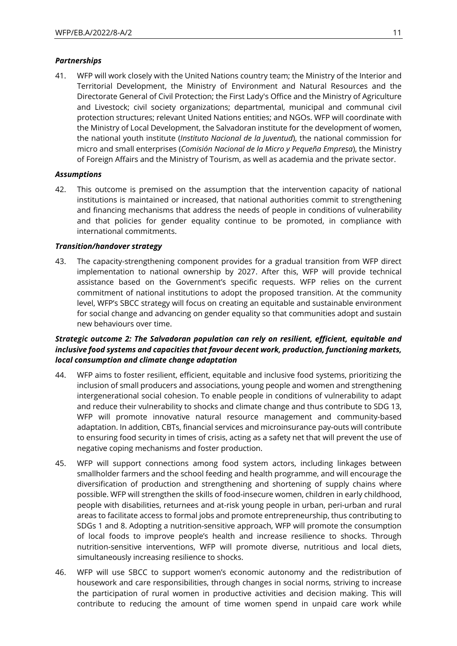### *Partnerships*

41. WFP will work closely with the United Nations country team; the Ministry of the Interior and Territorial Development, the Ministry of Environment and Natural Resources and the Directorate General of Civil Protection; the First Lady's Office and the Ministry of Agriculture and Livestock; civil society organizations; departmental, municipal and communal civil protection structures; relevant United Nations entities; and NGOs. WFP will coordinate with the Ministry of Local Development, the Salvadoran institute for the development of women, the national youth institute (*Instituto Nacional de la Juventud*), the national commission for micro and small enterprises (*Comisión Nacional de la Micro y Pequeña Empresa*), the Ministry of Foreign Affairs and the Ministry of Tourism, as well as academia and the private sector.

### *Assumptions*

42. This outcome is premised on the assumption that the intervention capacity of national institutions is maintained or increased, that national authorities commit to strengthening and financing mechanisms that address the needs of people in conditions of vulnerability and that policies for gender equality continue to be promoted, in compliance with international commitments.

#### *Transition/handover strategy*

43. The capacity-strengthening component provides for a gradual transition from WFP direct implementation to national ownership by 2027. After this, WFP will provide technical assistance based on the Government's specific requests. WFP relies on the current commitment of national institutions to adopt the proposed transition. At the community level, WFP's SBCC strategy will focus on creating an equitable and sustainable environment for social change and advancing on gender equality so that communities adopt and sustain new behaviours over time.

### *Strategic outcome 2: The Salvadoran population can rely on resilient, efficient, equitable and inclusive food systems and capacities that favour decent work, production, functioning markets, local consumption and climate change adaptation*

- 44. WFP aims to foster resilient, efficient, equitable and inclusive food systems, prioritizing the inclusion of small producers and associations, young people and women and strengthening intergenerational social cohesion. To enable people in conditions of vulnerability to adapt and reduce their vulnerability to shocks and climate change and thus contribute to SDG 13, WFP will promote innovative natural resource management and community-based adaptation. In addition, CBTs, financial services and microinsurance pay-outs will contribute to ensuring food security in times of crisis, acting as a safety net that will prevent the use of negative coping mechanisms and foster production.
- 45. WFP will support connections among food system actors, including linkages between smallholder farmers and the school feeding and health programme, and will encourage the diversification of production and strengthening and shortening of supply chains where possible. WFP will strengthen the skills of food-insecure women, children in early childhood, people with disabilities, returnees and at-risk young people in urban, peri-urban and rural areas to facilitate access to formal jobs and promote entrepreneurship, thus contributing to SDGs 1 and 8. Adopting a nutrition-sensitive approach, WFP will promote the consumption of local foods to improve people's health and increase resilience to shocks. Through nutrition-sensitive interventions, WFP will promote diverse, nutritious and local diets, simultaneously increasing resilience to shocks.
- 46. WFP will use SBCC to support women's economic autonomy and the redistribution of housework and care responsibilities, through changes in social norms, striving to increase the participation of rural women in productive activities and decision making. This will contribute to reducing the amount of time women spend in unpaid care work while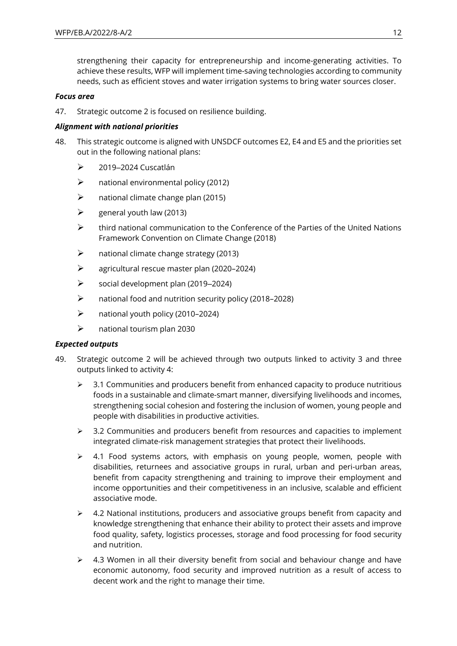strengthening their capacity for entrepreneurship and income-generating activities. To achieve these results, WFP will implement time-saving technologies according to community needs, such as efficient stoves and water irrigation systems to bring water sources closer.

#### *Focus area*

47. Strategic outcome 2 is focused on resilience building.

### *Alignment with national priorities*

- 48. This strategic outcome is aligned with UNSDCF outcomes E2, E4 and E5 and the priorities set out in the following national plans:
	- $\geq$  2019–2024 Cuscatlán
	- $\triangleright$  national environmental policy (2012)
	- $\triangleright$  national climate change plan (2015)
	- $\triangleright$  general youth law (2013)
	- $\triangleright$  third national communication to the Conference of the Parties of the United Nations Framework Convention on Climate Change (2018)
	- $\triangleright$  national climate change strategy (2013)
	- ➢ agricultural rescue master plan (2020–2024)
	- $\triangleright$  social development plan (2019–2024)
	- ➢ national food and nutrition security policy (2018–2028)
	- ➢ national youth policy (2010–2024)
	- $\triangleright$  national tourism plan 2030

### *Expected outputs*

- 49. Strategic outcome 2 will be achieved through two outputs linked to activity 3 and three outputs linked to activity 4:
	- $\geq$  3.1 Communities and producers benefit from enhanced capacity to produce nutritious foods in a sustainable and climate-smart manner, diversifying livelihoods and incomes, strengthening social cohesion and fostering the inclusion of women, young people and people with disabilities in productive activities.
	- $\geq$  3.2 Communities and producers benefit from resources and capacities to implement integrated climate-risk management strategies that protect their livelihoods.
	- ➢ 4.1 Food systems actors, with emphasis on young people, women, people with disabilities, returnees and associative groups in rural, urban and peri-urban areas, benefit from capacity strengthening and training to improve their employment and income opportunities and their competitiveness in an inclusive, scalable and efficient associative mode.
	- $\triangleright$  4.2 National institutions, producers and associative groups benefit from capacity and knowledge strengthening that enhance their ability to protect their assets and improve food quality, safety, logistics processes, storage and food processing for food security and nutrition.
	- ➢ 4.3 Women in all their diversity benefit from social and behaviour change and have economic autonomy, food security and improved nutrition as a result of access to decent work and the right to manage their time.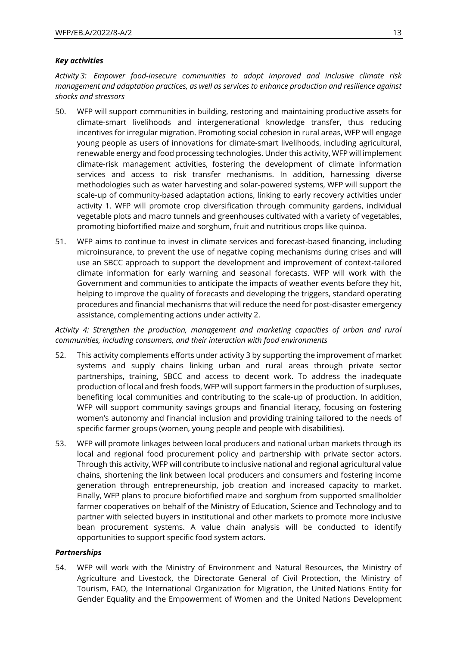### *Key activities*

*Activity 3: Empower food-insecure communities to adopt improved and inclusive climate risk management and adaptation practices, as well as services to enhance production and resilience against shocks and stressors*

- 50. WFP will support communities in building, restoring and maintaining productive assets for climate-smart livelihoods and intergenerational knowledge transfer, thus reducing incentives for irregular migration. Promoting social cohesion in rural areas, WFP will engage young people as users of innovations for climate-smart livelihoods, including agricultural, renewable energy and food processing technologies. Under this activity, WFP will implement climate-risk management activities, fostering the development of climate information services and access to risk transfer mechanisms. In addition, harnessing diverse methodologies such as water harvesting and solar-powered systems, WFP will support the scale-up of community-based adaptation actions, linking to early recovery activities under activity 1. WFP will promote crop diversification through community gardens, individual vegetable plots and macro tunnels and greenhouses cultivated with a variety of vegetables, promoting biofortified maize and sorghum, fruit and nutritious crops like quinoa.
- 51. WFP aims to continue to invest in climate services and forecast-based financing, including microinsurance, to prevent the use of negative coping mechanisms during crises and will use an SBCC approach to support the development and improvement of context-tailored climate information for early warning and seasonal forecasts. WFP will work with the Government and communities to anticipate the impacts of weather events before they hit, helping to improve the quality of forecasts and developing the triggers, standard operating procedures and financial mechanisms that will reduce the need for post-disaster emergency assistance, complementing actions under activity 2.

*Activity 4: Strengthen the production, management and marketing capacities of urban and rural communities, including consumers, and their interaction with food environments*

- 52. This activity complements efforts under activity 3 by supporting the improvement of market systems and supply chains linking urban and rural areas through private sector partnerships, training, SBCC and access to decent work. To address the inadequate production of local and fresh foods, WFP will support farmers in the production of surpluses, benefiting local communities and contributing to the scale-up of production. In addition, WFP will support community savings groups and financial literacy, focusing on fostering women's autonomy and financial inclusion and providing training tailored to the needs of specific farmer groups (women, young people and people with disabilities).
- 53. WFP will promote linkages between local producers and national urban markets through its local and regional food procurement policy and partnership with private sector actors. Through this activity, WFP will contribute to inclusive national and regional agricultural value chains, shortening the link between local producers and consumers and fostering income generation through entrepreneurship, job creation and increased capacity to market. Finally, WFP plans to procure biofortified maize and sorghum from supported smallholder farmer cooperatives on behalf of the Ministry of Education, Science and Technology and to partner with selected buyers in institutional and other markets to promote more inclusive bean procurement systems. A value chain analysis will be conducted to identify opportunities to support specific food system actors.

#### *Partnerships*

54. WFP will work with the Ministry of Environment and Natural Resources, the Ministry of Agriculture and Livestock, the Directorate General of Civil Protection, the Ministry of Tourism, FAO, the International Organization for Migration, the United Nations Entity for Gender Equality and the Empowerment of Women and the United Nations Development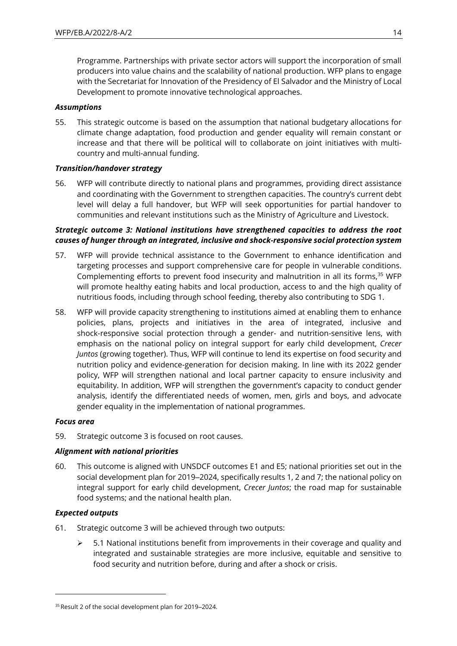Programme. Partnerships with private sector actors will support the incorporation of small producers into value chains and the scalability of national production. WFP plans to engage with the Secretariat for Innovation of the Presidency of El Salvador and the Ministry of Local Development to promote innovative technological approaches.

### *Assumptions*

55. This strategic outcome is based on the assumption that national budgetary allocations for climate change adaptation, food production and gender equality will remain constant or increase and that there will be political will to collaborate on joint initiatives with multicountry and multi-annual funding.

### *Transition/handover strategy*

56. WFP will contribute directly to national plans and programmes, providing direct assistance and coordinating with the Government to strengthen capacities. The country's current debt level will delay a full handover, but WFP will seek opportunities for partial handover to communities and relevant institutions such as the Ministry of Agriculture and Livestock.

### *Strategic outcome 3: National institutions have strengthened capacities to address the root causes of hunger through an integrated, inclusive and shock-responsive social protection system*

- 57. WFP will provide technical assistance to the Government to enhance identification and targeting processes and support comprehensive care for people in vulnerable conditions. Complementing efforts to prevent food insecurity and malnutrition in all its forms,<sup>35</sup> WFP will promote healthy eating habits and local production, access to and the high quality of nutritious foods, including through school feeding, thereby also contributing to SDG 1.
- 58. WFP will provide capacity strengthening to institutions aimed at enabling them to enhance policies, plans, projects and initiatives in the area of integrated, inclusive and shock-responsive social protection through a gender- and nutrition-sensitive lens, with emphasis on the national policy on integral support for early child development, *Crecer Juntos* (growing together). Thus, WFP will continue to lend its expertise on food security and nutrition policy and evidence-generation for decision making. In line with its 2022 gender policy, WFP will strengthen national and local partner capacity to ensure inclusivity and equitability. In addition, WFP will strengthen the government's capacity to conduct gender analysis, identify the differentiated needs of women, men, girls and boys, and advocate gender equality in the implementation of national programmes.

#### *Focus area*

59. Strategic outcome 3 is focused on root causes.

#### *Alignment with national priorities*

60. This outcome is aligned with UNSDCF outcomes E1 and E5; national priorities set out in the social development plan for 2019–2024, specifically results 1, 2 and 7; the national policy on integral support for early child development, *Crecer Juntos*; the road map for sustainable food systems; and the national health plan.

#### *Expected outputs*

- 61. Strategic outcome 3 will be achieved through two outputs:
	- ➢ 5.1 National institutions benefit from improvements in their coverage and quality and integrated and sustainable strategies are more inclusive, equitable and sensitive to food security and nutrition before, during and after a shock or crisis.

<sup>&</sup>lt;sup>35</sup> Result 2 of the social development plan for 2019-2024.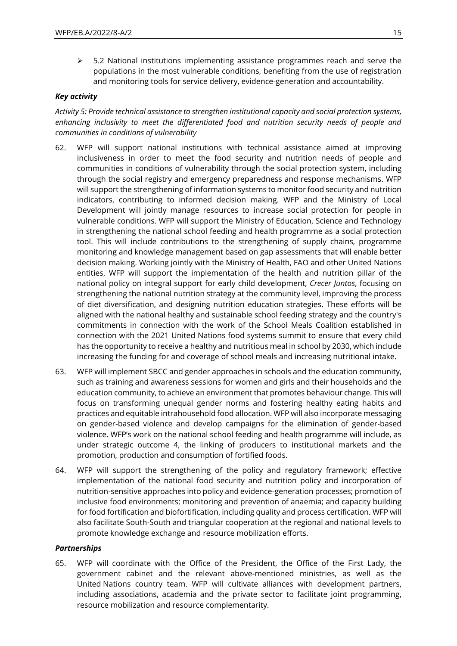$\geq$  5.2 National institutions implementing assistance programmes reach and serve the populations in the most vulnerable conditions, benefiting from the use of registration and monitoring tools for service delivery, evidence-generation and accountability.

### *Key activity*

*Activity 5: Provide technical assistance to strengthen institutional capacity and social protection systems, enhancing inclusivity to meet the differentiated food and nutrition security needs of people and communities in conditions of vulnerability*

- 62. WFP will support national institutions with technical assistance aimed at improving inclusiveness in order to meet the food security and nutrition needs of people and communities in conditions of vulnerability through the social protection system, including through the social registry and emergency preparedness and response mechanisms. WFP will support the strengthening of information systems to monitor food security and nutrition indicators, contributing to informed decision making. WFP and the Ministry of Local Development will jointly manage resources to increase social protection for people in vulnerable conditions. WFP will support the Ministry of Education, Science and Technology in strengthening the national school feeding and health programme as a social protection tool. This will include contributions to the strengthening of supply chains, programme monitoring and knowledge management based on gap assessments that will enable better decision making. Working jointly with the Ministry of Health, FAO and other United Nations entities, WFP will support the implementation of the health and nutrition pillar of the national policy on integral support for early child development, *Crecer Juntos*, focusing on strengthening the national nutrition strategy at the community level, improving the process of diet diversification, and designing nutrition education strategies. These efforts will be aligned with the national healthy and sustainable school feeding strategy and the country's commitments in connection with the work of the School Meals Coalition established in connection with the 2021 United Nations food systems summit to ensure that every child has the opportunity to receive a healthy and nutritious meal in school by 2030, which include increasing the funding for and coverage of school meals and increasing nutritional intake.
- 63. WFP will implement SBCC and gender approaches in schools and the education community, such as training and awareness sessions for women and girls and their households and the education community, to achieve an environment that promotes behaviour change. This will focus on transforming unequal gender norms and fostering healthy eating habits and practices and equitable intrahousehold food allocation. WFP will also incorporate messaging on gender-based violence and develop campaigns for the elimination of gender-based violence. WFP's work on the national school feeding and health programme will include, as under strategic outcome 4, the linking of producers to institutional markets and the promotion, production and consumption of fortified foods.
- 64. WFP will support the strengthening of the policy and regulatory framework; effective implementation of the national food security and nutrition policy and incorporation of nutrition-sensitive approaches into policy and evidence-generation processes; promotion of inclusive food environments; monitoring and prevention of anaemia; and capacity building for food fortification and biofortification, including quality and process certification. WFP will also facilitate South-South and triangular cooperation at the regional and national levels to promote knowledge exchange and resource mobilization efforts.

#### *Partnerships*

65. WFP will coordinate with the Office of the President, the Office of the First Lady, the government cabinet and the relevant above-mentioned ministries, as well as the United Nations country team. WFP will cultivate alliances with development partners, including associations, academia and the private sector to facilitate joint programming, resource mobilization and resource complementarity.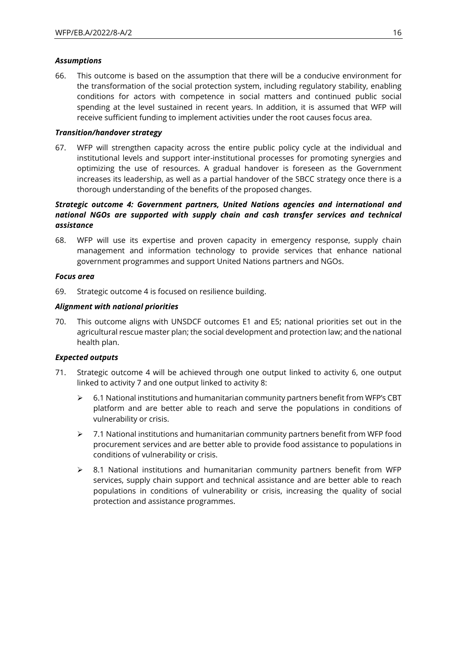### *Assumptions*

66. This outcome is based on the assumption that there will be a conducive environment for the transformation of the social protection system, including regulatory stability, enabling conditions for actors with competence in social matters and continued public social spending at the level sustained in recent years. In addition, it is assumed that WFP will receive sufficient funding to implement activities under the root causes focus area.

### *Transition/handover strategy*

67. WFP will strengthen capacity across the entire public policy cycle at the individual and institutional levels and support inter-institutional processes for promoting synergies and optimizing the use of resources. A gradual handover is foreseen as the Government increases its leadership, as well as a partial handover of the SBCC strategy once there is a thorough understanding of the benefits of the proposed changes.

### *Strategic outcome 4: Government partners, United Nations agencies and international and national NGOs are supported with supply chain and cash transfer services and technical assistance*

68. WFP will use its expertise and proven capacity in emergency response, supply chain management and information technology to provide services that enhance national government programmes and support United Nations partners and NGOs.

### *Focus area*

69. Strategic outcome 4 is focused on resilience building.

### *Alignment with national priorities*

70. This outcome aligns with UNSDCF outcomes E1 and E5; national priorities set out in the agricultural rescue master plan; the social development and protection law; and the national health plan.

### *Expected outputs*

- 71. Strategic outcome 4 will be achieved through one output linked to activity 6, one output linked to activity 7 and one output linked to activity 8:
	- ➢ 6.1 National institutions and humanitarian community partners benefit from WFP's CBT platform and are better able to reach and serve the populations in conditions of vulnerability or crisis.
	- $\geq$  7.1 National institutions and humanitarian community partners benefit from WFP food procurement services and are better able to provide food assistance to populations in conditions of vulnerability or crisis.
	- ➢ 8.1 National institutions and humanitarian community partners benefit from WFP services, supply chain support and technical assistance and are better able to reach populations in conditions of vulnerability or crisis, increasing the quality of social protection and assistance programmes.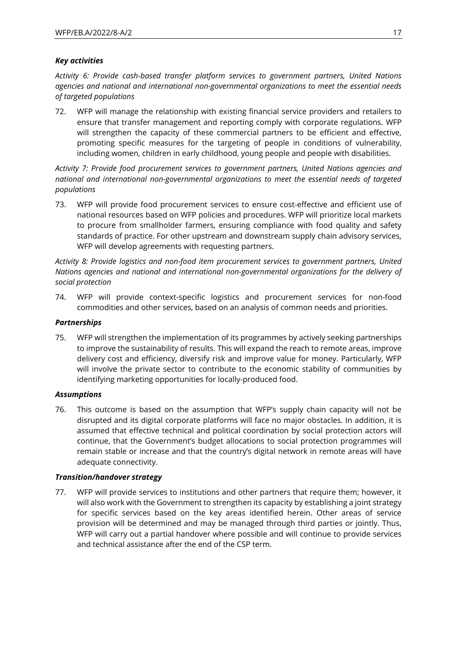### *Key activities*

*Activity 6: Provide cash-based transfer platform services to government partners, United Nations agencies and national and international non-governmental organizations to meet the essential needs of targeted populations*

72. WFP will manage the relationship with existing financial service providers and retailers to ensure that transfer management and reporting comply with corporate regulations. WFP will strengthen the capacity of these commercial partners to be efficient and effective, promoting specific measures for the targeting of people in conditions of vulnerability, including women, children in early childhood, young people and people with disabilities.

*Activity 7: Provide food procurement services to government partners, United Nations agencies and national and international non-governmental organizations to meet the essential needs of targeted populations*

73. WFP will provide food procurement services to ensure cost-effective and efficient use of national resources based on WFP policies and procedures. WFP will prioritize local markets to procure from smallholder farmers, ensuring compliance with food quality and safety standards of practice. For other upstream and downstream supply chain advisory services, WFP will develop agreements with requesting partners.

*Activity 8: Provide logistics and non-food item procurement services to government partners, United Nations agencies and national and international non-governmental organizations for the delivery of social protection*

74. WFP will provide context-specific logistics and procurement services for non-food commodities and other services, based on an analysis of common needs and priorities.

### *Partnerships*

75. WFP will strengthen the implementation of its programmes by actively seeking partnerships to improve the sustainability of results. This will expand the reach to remote areas, improve delivery cost and efficiency, diversify risk and improve value for money. Particularly, WFP will involve the private sector to contribute to the economic stability of communities by identifying marketing opportunities for locally-produced food.

### *Assumptions*

76. This outcome is based on the assumption that WFP's supply chain capacity will not be disrupted and its digital corporate platforms will face no major obstacles. In addition, it is assumed that effective technical and political coordination by social protection actors will continue, that the Government's budget allocations to social protection programmes will remain stable or increase and that the country's digital network in remote areas will have adequate connectivity.

#### *Transition/handover strategy*

77. WFP will provide services to institutions and other partners that require them; however, it will also work with the Government to strengthen its capacity by establishing a joint strategy for specific services based on the key areas identified herein. Other areas of service provision will be determined and may be managed through third parties or jointly. Thus, WFP will carry out a partial handover where possible and will continue to provide services and technical assistance after the end of the CSP term.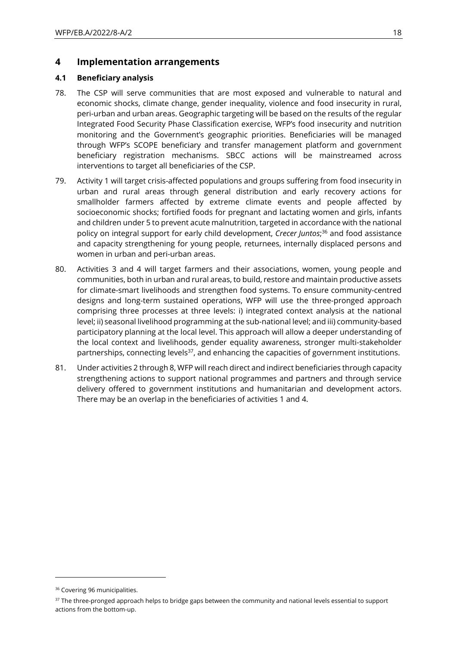### **4 Implementation arrangements**

### **4.1 Beneficiary analysis**

- 78. The CSP will serve communities that are most exposed and vulnerable to natural and economic shocks, climate change, gender inequality, violence and food insecurity in rural, peri-urban and urban areas. Geographic targeting will be based on the results of the regular Integrated Food Security Phase Classification exercise, WFP's food insecurity and nutrition monitoring and the Government's geographic priorities. Beneficiaries will be managed through WFP's SCOPE beneficiary and transfer management platform and government beneficiary registration mechanisms. SBCC actions will be mainstreamed across interventions to target all beneficiaries of the CSP.
- 79. Activity 1 will target crisis-affected populations and groups suffering from food insecurity in urban and rural areas through general distribution and early recovery actions for smallholder farmers affected by extreme climate events and people affected by socioeconomic shocks; fortified foods for pregnant and lactating women and girls, infants and children under 5 to prevent acute malnutrition, targeted in accordance with the national policy on integral support for early child development, *Crecer Juntos*; <sup>36</sup> and food assistance and capacity strengthening for young people, returnees, internally displaced persons and women in urban and peri-urban areas.
- 80. Activities 3 and 4 will target farmers and their associations, women, young people and communities, both in urban and rural areas, to build, restore and maintain productive assets for climate-smart livelihoods and strengthen food systems. To ensure community-centred designs and long-term sustained operations, WFP will use the three-pronged approach comprising three processes at three levels: i) integrated context analysis at the national level; ii) seasonal livelihood programming at the sub-national level; and iii) community-based participatory planning at the local level. This approach will allow a deeper understanding of the local context and livelihoods, gender equality awareness, stronger multi-stakeholder partnerships, connecting levels $37$ , and enhancing the capacities of government institutions.
- 81. Under activities 2 through 8, WFP will reach direct and indirect beneficiaries through capacity strengthening actions to support national programmes and partners and through service delivery offered to government institutions and humanitarian and development actors. There may be an overlap in the beneficiaries of activities 1 and 4.

<sup>&</sup>lt;sup>36</sup> Covering 96 municipalities.

<sup>&</sup>lt;sup>37</sup> The three-pronged approach helps to bridge gaps between the community and national levels essential to support actions from the bottom-up.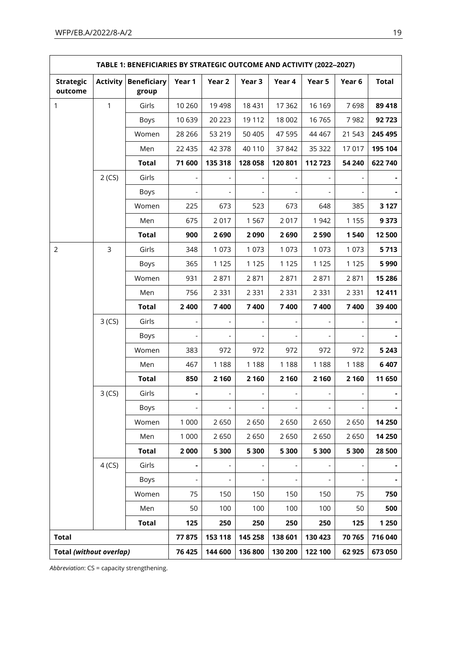| TABLE 1: BENEFICIARIES BY STRATEGIC OUTCOME AND ACTIVITY (2022-2027) |                 |                             |                              |                          |                              |                          |                              |                              |              |
|----------------------------------------------------------------------|-----------------|-----------------------------|------------------------------|--------------------------|------------------------------|--------------------------|------------------------------|------------------------------|--------------|
| <b>Strategic</b><br>outcome                                          | <b>Activity</b> | <b>Beneficiary</b><br>group | Year 1                       | Year 2                   | Year 3                       | Year 4                   | Year 5                       | Year 6                       | <b>Total</b> |
| $\mathbf{1}$                                                         | 1               | Girls                       | 10 260                       | 19 4 98                  | 18 4 31                      | 17 3 62                  | 16 169                       | 7698                         | 89 418       |
|                                                                      |                 | Boys                        | 10 639                       | 20 223                   | 19 112                       | 18 002                   | 16765                        | 7982                         | 92723        |
|                                                                      |                 | Women                       | 28 26 6                      | 53 219                   | 50 40 5                      | 47 595                   | 44 4 67                      | 21 543                       | 245 495      |
|                                                                      |                 | Men                         | 22 4 35                      | 42 378                   | 40 110                       | 37842                    | 35 322                       | 17017                        | 195 104      |
|                                                                      |                 | <b>Total</b>                | 71 600                       | 135 318                  | 128 058                      | 120 801                  | 112723                       | 54 240                       | 622 740      |
|                                                                      | 2(CS)           | Girls                       | $\overline{\phantom{a}}$     | $\overline{\phantom{a}}$ | $\qquad \qquad \blacksquare$ | $\blacksquare$           | $\qquad \qquad \blacksquare$ | $\overline{\phantom{a}}$     |              |
|                                                                      |                 | Boys                        | $\overline{\phantom{a}}$     |                          |                              | $\overline{\phantom{0}}$ |                              |                              |              |
|                                                                      |                 | Women                       | 225                          | 673                      | 523                          | 673                      | 648                          | 385                          | 3 1 2 7      |
|                                                                      |                 | Men                         | 675                          | 2017                     | 1567                         | 2017                     | 1 9 4 2                      | 1 1 5 5                      | 9 3 7 3      |
|                                                                      |                 | <b>Total</b>                | 900                          | 2690                     | 2090                         | 2690                     | 2590                         | 1540                         | 12 500       |
| $\overline{2}$                                                       | $\overline{3}$  | Girls                       | 348                          | 1 0 7 3                  | 1 0 7 3                      | 1 0 7 3                  | 1 0 7 3                      | 1 0 7 3                      | 5713         |
|                                                                      |                 | Boys                        | 365                          | 1 1 2 5                  | 1 1 2 5                      | 1 1 2 5                  | 1 1 2 5                      | 1 1 2 5                      | 5990         |
|                                                                      |                 | Women                       | 931                          | 2871                     | 2871                         | 2871                     | 2871                         | 2871                         | 15 28 6      |
|                                                                      |                 | Men                         | 756                          | 2 3 3 1                  | 2 3 3 1                      | 2 3 3 1                  | 2 3 3 1                      | 2 3 3 1                      | 12 4 11      |
|                                                                      |                 | <b>Total</b>                | 2 4 0 0                      | 7400                     | 7400                         | 7400                     | 7400                         | 7400                         | 39 400       |
|                                                                      | 3(CS)           | Girls                       |                              |                          |                              |                          |                              |                              |              |
|                                                                      |                 | Boys                        |                              |                          |                              |                          |                              |                              |              |
|                                                                      |                 | Women                       | 383                          | 972                      | 972                          | 972                      | 972                          | 972                          | 5 2 4 3      |
|                                                                      |                 | Men                         | 467                          | 1 1 8 8                  | 1 1 8 8                      | 1 1 8 8                  | 1 1 8 8                      | 1 1 8 8                      | 6 4 0 7      |
|                                                                      |                 | <b>Total</b>                | 850                          | 2 1 6 0                  | 2 1 6 0                      | 2 1 6 0                  | 2 1 6 0                      | 2 1 6 0                      | 11 650       |
|                                                                      | 3(CS)           | Girls                       | $\blacksquare$               | $\overline{\phantom{a}}$ |                              |                          |                              |                              |              |
|                                                                      |                 | Boys                        | $\overline{\phantom{a}}$     | $\overline{\phantom{a}}$ | $\overline{\phantom{a}}$     | $\overline{\phantom{a}}$ | $\overline{\phantom{a}}$     | $\overline{\phantom{a}}$     |              |
|                                                                      |                 | Women                       | 1 0 0 0                      | 2650                     | 2650                         | 2650                     | 2650                         | 2650                         | 14 250       |
|                                                                      |                 | Men                         | 1 0 0 0                      | 2650                     | 2650                         | 2650                     | 2650                         | 2650                         | 14 250       |
|                                                                      |                 | <b>Total</b>                | 2000                         | 5 300                    | 5 300                        | 5 300                    | 5 300                        | 5 300                        | 28 500       |
|                                                                      | 4(CS)           | Girls                       | $\qquad \qquad \blacksquare$ | $\overline{\phantom{a}}$ |                              | $\overline{\phantom{a}}$ |                              | $\qquad \qquad \blacksquare$ |              |
|                                                                      |                 | Boys                        | $\overline{\phantom{a}}$     | $\blacksquare$           |                              | $\overline{\phantom{a}}$ |                              |                              |              |
|                                                                      |                 | Women                       | 75                           | 150                      | 150                          | 150                      | 150                          | 75                           | 750          |
|                                                                      |                 | Men                         | 50                           | 100                      | 100                          | 100                      | 100                          | 50                           | 500          |
|                                                                      |                 | <b>Total</b>                | 125                          | 250                      | 250                          | 250                      | 250                          | 125                          | 1 2 5 0      |
| <b>Total</b>                                                         |                 |                             | 77875                        | 153 118                  | 145 258                      | 138 601                  | 130 423                      | 70 765                       | 716 040      |
| Total (without overlap)                                              |                 |                             | 76 425                       | 144 600                  | 136 800                      | 130 200                  | 122 100                      | 62 925                       | 673 050      |

*Abbreviation*: CS = capacity strengthening.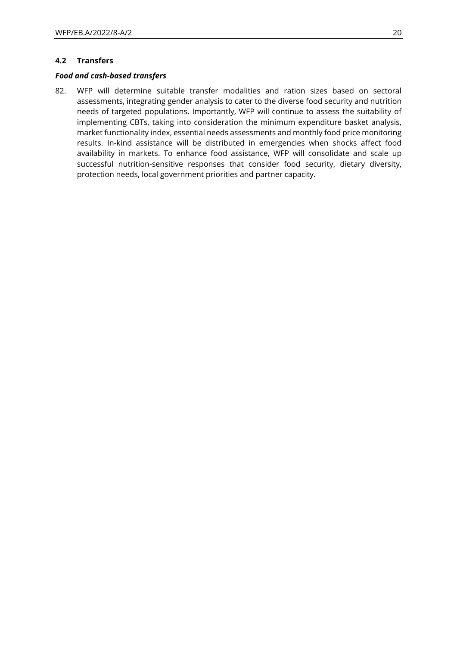#### **4.2 Transfers**

#### *Food and cash-based transfers*

82. WFP will determine suitable transfer modalities and ration sizes based on sectoral assessments, integrating gender analysis to cater to the diverse food security and nutrition needs of targeted populations. Importantly, WFP will continue to assess the suitability of implementing CBTs, taking into consideration the minimum expenditure basket analysis, market functionality index, essential needs assessments and monthly food price monitoring results. In-kind assistance will be distributed in emergencies when shocks affect food availability in markets. To enhance food assistance, WFP will consolidate and scale up successful nutrition-sensitive responses that consider food security, dietary diversity, protection needs, local government priorities and partner capacity.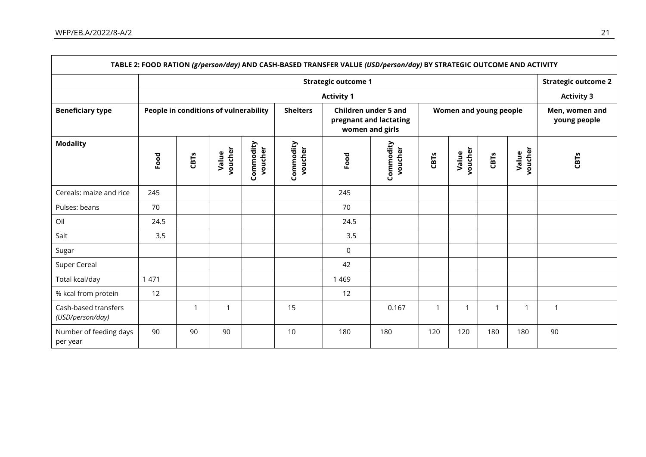$\mathsf{r}$ 

|                                            |                                       | <b>Strategic outcome 2</b><br><b>Activity 3</b> |                  |                      |                                                                          |             |                        |      |                  |                                |                  |                  |
|--------------------------------------------|---------------------------------------|-------------------------------------------------|------------------|----------------------|--------------------------------------------------------------------------|-------------|------------------------|------|------------------|--------------------------------|------------------|------------------|
|                                            |                                       |                                                 |                  |                      |                                                                          |             |                        |      |                  |                                |                  |                  |
| <b>Beneficiary type</b><br><b>Modality</b> | People in conditions of vulnerability |                                                 |                  | <b>Shelters</b>      | <b>Children under 5 and</b><br>pregnant and lactating<br>women and girls |             | Women and young people |      |                  | Men, women and<br>young people |                  |                  |
|                                            | Food                                  | <b>CBTs</b>                                     | voucher<br>Value | Commodity<br>voucher | Commodity<br>voucher                                                     | Food        | Commodity<br>voucher   | CBTs | voucher<br>Value | CBTs                           | voucher<br>Value | CBT <sub>S</sub> |
| Cereals: maize and rice                    | 245                                   |                                                 |                  |                      |                                                                          | 245         |                        |      |                  |                                |                  |                  |
| Pulses: beans                              | 70                                    |                                                 |                  |                      |                                                                          | 70          |                        |      |                  |                                |                  |                  |
| Oil                                        | 24.5                                  |                                                 |                  |                      |                                                                          | 24.5        |                        |      |                  |                                |                  |                  |
| Salt                                       | 3.5                                   |                                                 |                  |                      |                                                                          | 3.5         |                        |      |                  |                                |                  |                  |
| Sugar                                      |                                       |                                                 |                  |                      |                                                                          | $\mathbf 0$ |                        |      |                  |                                |                  |                  |
| Super Cereal                               |                                       |                                                 |                  |                      |                                                                          | 42          |                        |      |                  |                                |                  |                  |
| Total kcal/day                             | 1 4 7 1                               |                                                 |                  |                      |                                                                          | 1 4 6 9     |                        |      |                  |                                |                  |                  |
| % kcal from protein                        | 12                                    |                                                 |                  |                      |                                                                          | 12          |                        |      |                  |                                |                  |                  |
| Cash-based transfers<br>(USD/person/day)   |                                       | -1                                              | $\mathbf{1}$     |                      | 15                                                                       |             | 0.167                  | 1    | $\mathbf{1}$     | 1                              | -1               | $\mathbf{1}$     |
| Number of feeding days<br>per year         | 90                                    | 90                                              | 90               |                      | 10                                                                       | 180         | 180                    | 120  | 120              | 180                            | 180              | 90               |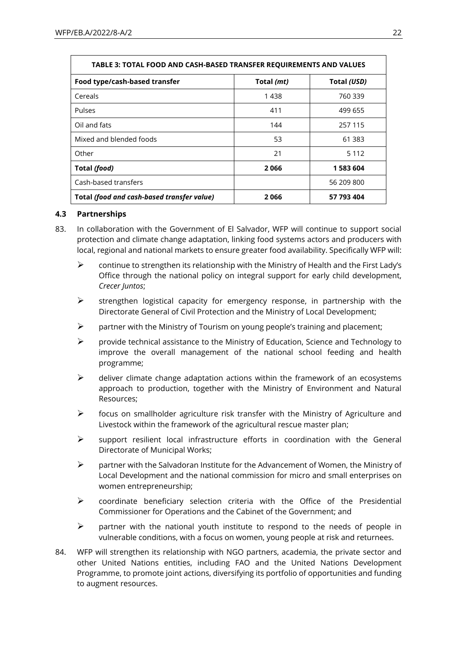| TABLE 3: TOTAL FOOD AND CASH-BASED TRANSFER REQUIREMENTS AND VALUES |       |            |  |  |  |
|---------------------------------------------------------------------|-------|------------|--|--|--|
| Food type/cash-based transfer<br>Total (mt)<br>Total (USD)          |       |            |  |  |  |
| Cereals                                                             | 1 438 | 760 339    |  |  |  |
| <b>Pulses</b>                                                       | 411   | 499 655    |  |  |  |
| Oil and fats                                                        | 144   | 257 115    |  |  |  |
| Mixed and blended foods                                             | 53    | 61 383     |  |  |  |
| Other                                                               | 21    | 5 1 1 2    |  |  |  |
| Total (food)                                                        | 2066  | 1583604    |  |  |  |
| Cash-based transfers                                                |       | 56 209 800 |  |  |  |
| Total (food and cash-based transfer value)<br>57 793 404<br>2066    |       |            |  |  |  |

### **4.3 Partnerships**

- 83. In collaboration with the Government of El Salvador, WFP will continue to support social protection and climate change adaptation, linking food systems actors and producers with local, regional and national markets to ensure greater food availability. Specifically WFP will:
	- $\triangleright$  continue to strengthen its relationship with the Ministry of Health and the First Lady's Office through the national policy on integral support for early child development, *Crecer Juntos*;
	- $\triangleright$  strengthen logistical capacity for emergency response, in partnership with the Directorate General of Civil Protection and the Ministry of Local Development;
	- $\triangleright$  partner with the Ministry of Tourism on young people's training and placement;
	- $\triangleright$  provide technical assistance to the Ministry of Education. Science and Technology to improve the overall management of the national school feeding and health programme;
	- $\triangleright$  deliver climate change adaptation actions within the framework of an ecosystems approach to production, together with the Ministry of Environment and Natural Resources;
	- $\triangleright$  focus on smallholder agriculture risk transfer with the Ministry of Agriculture and Livestock within the framework of the agricultural rescue master plan;
	- $\triangleright$  support resilient local infrastructure efforts in coordination with the General Directorate of Municipal Works;
	- $\triangleright$  partner with the Salvadoran Institute for the Advancement of Women, the Ministry of Local Development and the national commission for micro and small enterprises on women entrepreneurship;
	- $\triangleright$  coordinate beneficiary selection criteria with the Office of the Presidential Commissioner for Operations and the Cabinet of the Government; and
	- $\triangleright$  partner with the national youth institute to respond to the needs of people in vulnerable conditions, with a focus on women, young people at risk and returnees.
- 84. WFP will strengthen its relationship with NGO partners, academia, the private sector and other United Nations entities, including FAO and the United Nations Development Programme, to promote joint actions, diversifying its portfolio of opportunities and funding to augment resources.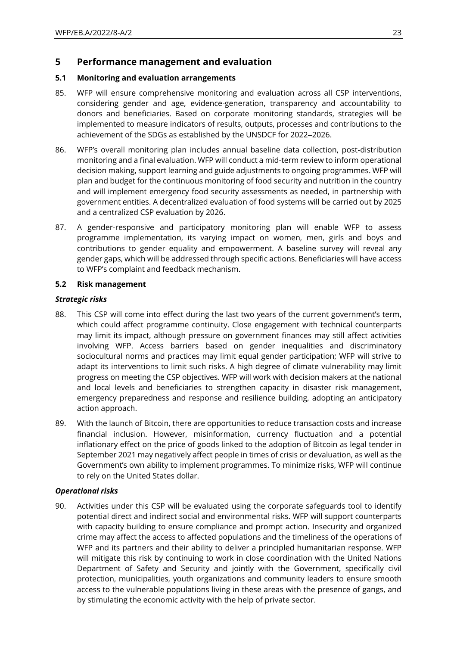### **5 Performance management and evaluation**

### **5.1 Monitoring and evaluation arrangements**

- 85. WFP will ensure comprehensive monitoring and evaluation across all CSP interventions, considering gender and age, evidence-generation, transparency and accountability to donors and beneficiaries. Based on corporate monitoring standards, strategies will be implemented to measure indicators of results, outputs, processes and contributions to the achievement of the SDGs as established by the UNSDCF for 2022-2026.
- 86. WFP's overall monitoring plan includes annual baseline data collection, post-distribution monitoring and a final evaluation. WFP will conduct a mid-term review to inform operational decision making, support learning and guide adjustments to ongoing programmes. WFP will plan and budget for the continuous monitoring of food security and nutrition in the country and will implement emergency food security assessments as needed, in partnership with government entities. A decentralized evaluation of food systems will be carried out by 2025 and a centralized CSP evaluation by 2026.
- 87. A gender-responsive and participatory monitoring plan will enable WFP to assess programme implementation, its varying impact on women, men, girls and boys and contributions to gender equality and empowerment. A baseline survey will reveal any gender gaps, which will be addressed through specific actions. Beneficiaries will have access to WFP's complaint and feedback mechanism.

### **5.2 Risk management**

### *Strategic risks*

- 88. This CSP will come into effect during the last two years of the current government's term, which could affect programme continuity. Close engagement with technical counterparts may limit its impact, although pressure on government finances may still affect activities involving WFP. Access barriers based on gender inequalities and discriminatory sociocultural norms and practices may limit equal gender participation; WFP will strive to adapt its interventions to limit such risks. A high degree of climate vulnerability may limit progress on meeting the CSP objectives. WFP will work with decision makers at the national and local levels and beneficiaries to strengthen capacity in disaster risk management, emergency preparedness and response and resilience building, adopting an anticipatory action approach.
- 89. With the launch of Bitcoin, there are opportunities to reduce transaction costs and increase financial inclusion. However, misinformation, currency fluctuation and a potential inflationary effect on the price of goods linked to the adoption of Bitcoin as legal tender in September 2021 may negatively affect people in times of crisis or devaluation, as well as the Government's own ability to implement programmes. To minimize risks, WFP will continue to rely on the United States dollar.

#### *Operational risks*

90. Activities under this CSP will be evaluated using the corporate safeguards tool to identify potential direct and indirect social and environmental risks. WFP will support counterparts with capacity building to ensure compliance and prompt action. Insecurity and organized crime may affect the access to affected populations and the timeliness of the operations of WFP and its partners and their ability to deliver a principled humanitarian response. WFP will mitigate this risk by continuing to work in close coordination with the United Nations Department of Safety and Security and jointly with the Government, specifically civil protection, municipalities, youth organizations and community leaders to ensure smooth access to the vulnerable populations living in these areas with the presence of gangs, and by stimulating the economic activity with the help of private sector.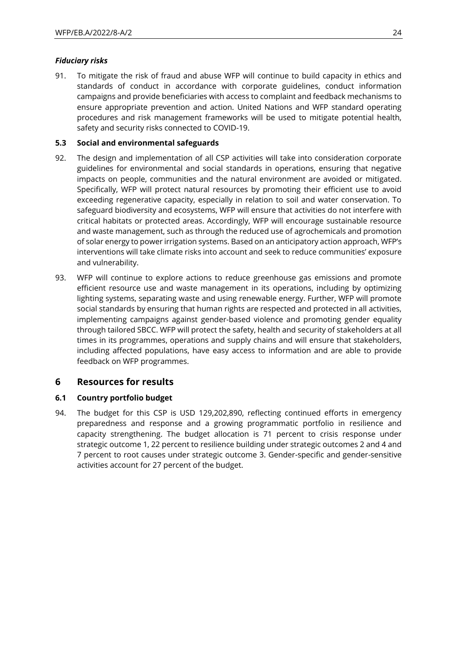### *Fiduciary risks*

91. To mitigate the risk of fraud and abuse WFP will continue to build capacity in ethics and standards of conduct in accordance with corporate guidelines, conduct information campaigns and provide beneficiaries with access to complaint and feedback mechanisms to ensure appropriate prevention and action. United Nations and WFP standard operating procedures and risk management frameworks will be used to mitigate potential health, safety and security risks connected to COVID-19.

### **5.3 Social and environmental safeguards**

- 92. The design and implementation of all CSP activities will take into consideration corporate guidelines for environmental and social standards in operations, ensuring that negative impacts on people, communities and the natural environment are avoided or mitigated. Specifically, WFP will protect natural resources by promoting their efficient use to avoid exceeding regenerative capacity, especially in relation to soil and water conservation. To safeguard biodiversity and ecosystems, WFP will ensure that activities do not interfere with critical habitats or protected areas. Accordingly, WFP will encourage sustainable resource and waste management, such as through the reduced use of agrochemicals and promotion of solar energy to power irrigation systems. Based on an anticipatory action approach, WFP's interventions will take climate risks into account and seek to reduce communities' exposure and vulnerability.
- 93. WFP will continue to explore actions to reduce greenhouse gas emissions and promote efficient resource use and waste management in its operations, including by optimizing lighting systems, separating waste and using renewable energy. Further, WFP will promote social standards by ensuring that human rights are respected and protected in all activities, implementing campaigns against gender-based violence and promoting gender equality through tailored SBCC. WFP will protect the safety, health and security of stakeholders at all times in its programmes, operations and supply chains and will ensure that stakeholders, including affected populations, have easy access to information and are able to provide feedback on WFP programmes.

### **6 Resources for results**

### **6.1 Country portfolio budget**

94. The budget for this CSP is USD 129,202,890, reflecting continued efforts in emergency preparedness and response and a growing programmatic portfolio in resilience and capacity strengthening. The budget allocation is 71 percent to crisis response under strategic outcome 1, 22 percent to resilience building under strategic outcomes 2 and 4 and 7 percent to root causes under strategic outcome 3. Gender-specific and gender-sensitive activities account for 27 percent of the budget.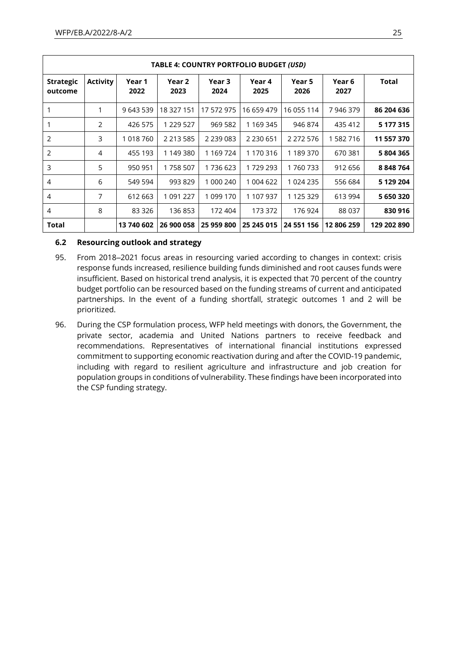| TABLE 4: COUNTRY PORTFOLIO BUDGET (USD) |                 |                |                |                |                |                |                |             |
|-----------------------------------------|-----------------|----------------|----------------|----------------|----------------|----------------|----------------|-------------|
| <b>Strategic</b><br>outcome             | <b>Activity</b> | Year 1<br>2022 | Year 2<br>2023 | Year 3<br>2024 | Year 4<br>2025 | Year 5<br>2026 | Year 6<br>2027 | Total       |
|                                         | 1               | 9 643 539      | 18 327 151     | 17 572 975     | 16 659 479     | 16 055 114     | 7 946 379      | 86 204 636  |
|                                         | 2               | 426 575        | 1 229 527      | 969 582        | 1 169 345      | 946 874        | 435 412        | 5 177 315   |
| 2                                       | 3               | 1 018 760      | 2 2 1 3 5 8 5  | 2 2 3 0 0 8 3  | 2 2 3 0 6 5 1  | 2 2 7 2 5 7 6  | 1 582 716      | 11 557 370  |
| 2                                       | 4               | 455 193        | 1 149 380      | 1 169 724      | 1 170 316      | 1 189 370      | 670 381        | 5 804 365   |
| 3                                       | 5               | 950 951        | 1758 507       | 1736623        | 1729293        | 1760733        | 912 656        | 8 848 764   |
| 4                                       | 6               | 549 594        | 993 829        | 1 000 240      | 1 004 622      | 1 024 235      | 556 684        | 5 129 204   |
| 4                                       | 7               | 612 663        | 1 091 227      | 1 099 170      | 1 107 937      | 1 125 329      | 613 994        | 5 650 320   |
| 4                                       | 8               | 83 3 26        | 136 853        | 172 404        | 173 372        | 176 924        | 88 037         | 830 916     |
| Total                                   |                 | 13 740 602     | 26 900 058     | 25 959 800     | 25 245 015     | 24 551 156     | 12 806 259     | 129 202 890 |

### **6.2 Resourcing outlook and strategy**

- 95. From 2018-2021 focus areas in resourcing varied according to changes in context: crisis response funds increased, resilience building funds diminished and root causes funds were insufficient. Based on historical trend analysis, it is expected that 70 percent of the country budget portfolio can be resourced based on the funding streams of current and anticipated partnerships. In the event of a funding shortfall, strategic outcomes 1 and 2 will be prioritized.
- 96. During the CSP formulation process, WFP held meetings with donors, the Government, the private sector, academia and United Nations partners to receive feedback and recommendations. Representatives of international financial institutions expressed commitment to supporting economic reactivation during and after the COVID-19 pandemic, including with regard to resilient agriculture and infrastructure and job creation for population groups in conditions of vulnerability. These findings have been incorporated into the CSP funding strategy.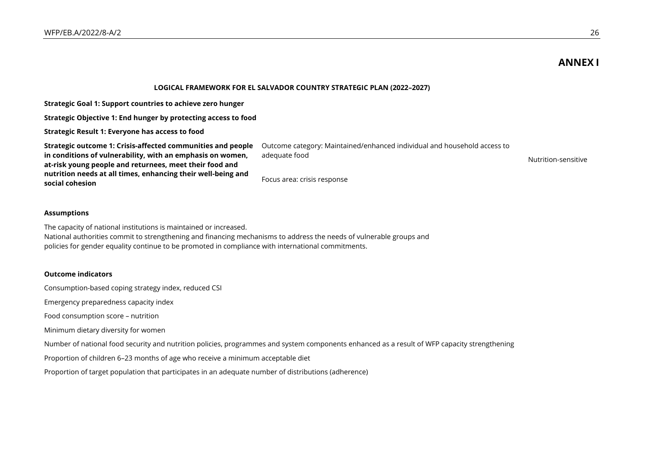## **ANNEX I**

#### **LOGICAL FRAMEWORK FOR EL SALVADOR COUNTRY STRATEGIC PLAN (2022–2027)**

Focus area: crisis response

**Strategic Goal 1: Support countries to achieve zero hunger**

**Strategic Objective 1: End hunger by protecting access to food**

**Strategic Result 1: Everyone has access to food**

**Strategic outcome 1: Crisis-affected communities and people in conditions of vulnerability, with an emphasis on women, at-risk young people and returnees, meet their food and nutrition needs at all times, enhancing their well-being and social cohesion**

Outcome category: Maintained/enhanced individual and household access to adequate food Nutrition-sensitive

#### **Assumptions**

The capacity of national institutions is maintained or increased. National authorities commit to strengthening and financing mechanisms to address the needs of vulnerable groups and policies for gender equality continue to be promoted in compliance with international commitments.

#### **Outcome indicators**

Consumption-based coping strategy index, reduced CSI

Emergency preparedness capacity index

Food consumption score – nutrition

Minimum dietary diversity for women

Number of national food security and nutrition policies, programmes and system components enhanced as a result of WFP capacity strengthening

Proportion of children 6–23 months of age who receive a minimum acceptable diet

Proportion of target population that participates in an adequate number of distributions (adherence)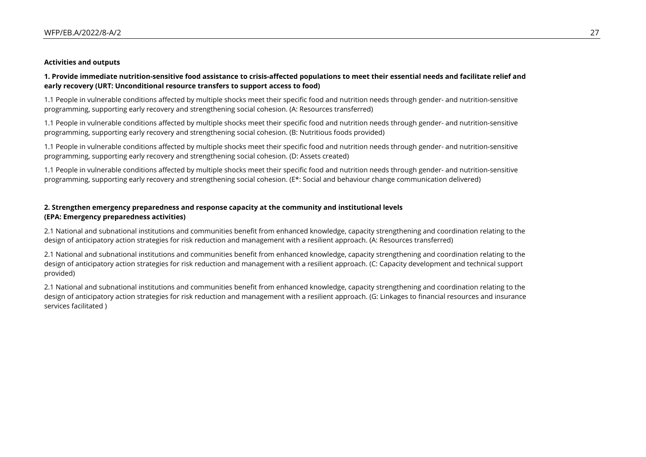#### **Activities and outputs**

#### **1. Provide immediate nutrition-sensitive food assistance to crisis-affected populations to meet their essential needs and facilitate relief and early recovery (URT: Unconditional resource transfers to support access to food)**

1.1 People in vulnerable conditions affected by multiple shocks meet their specific food and nutrition needs through gender- and nutrition-sensitive programming, supporting early recovery and strengthening social cohesion. (A: Resources transferred)

1.1 People in vulnerable conditions affected by multiple shocks meet their specific food and nutrition needs through gender- and nutrition-sensitive programming, supporting early recovery and strengthening social cohesion. (B: Nutritious foods provided)

1.1 People in vulnerable conditions affected by multiple shocks meet their specific food and nutrition needs through gender- and nutrition-sensitive programming, supporting early recovery and strengthening social cohesion. (D: Assets created)

1.1 People in vulnerable conditions affected by multiple shocks meet their specific food and nutrition needs through gender- and nutrition-sensitive programming, supporting early recovery and strengthening social cohesion. (E\*: Social and behaviour change communication delivered)

#### **2. Strengthen emergency preparedness and response capacity at the community and institutional levels (EPA: Emergency preparedness activities)**

2.1 National and subnational institutions and communities benefit from enhanced knowledge, capacity strengthening and coordination relating to the design of anticipatory action strategies for risk reduction and management with a resilient approach. (A: Resources transferred)

2.1 National and subnational institutions and communities benefit from enhanced knowledge, capacity strengthening and coordination relating to the design of anticipatory action strategies for risk reduction and management with a resilient approach. (C: Capacity development and technical support provided)

2.1 National and subnational institutions and communities benefit from enhanced knowledge, capacity strengthening and coordination relating to the design of anticipatory action strategies for risk reduction and management with a resilient approach. (G: Linkages to financial resources and insurance services facilitated )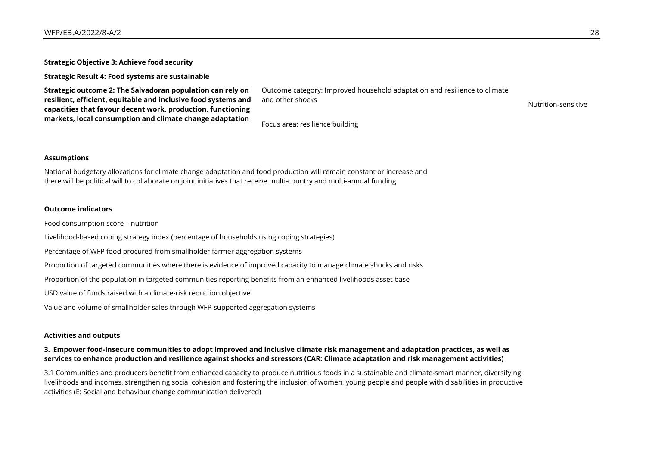**Strategic Objective 3: Achieve food security**

**Strategic Result 4: Food systems are sustainable**

**Strategic outcome 2: The Salvadoran population can rely on resilient, efficient, equitable and inclusive food systems and capacities that favour decent work, production, functioning markets, local consumption and climate change adaptation**

Outcome category: Improved household adaptation and resilience to climate and other shocks and states are sensitive and other shocks and  $\sim$  Nutrition-sensitive

Focus area: resilience building

#### **Assumptions**

National budgetary allocations for climate change adaptation and food production will remain constant or increase and there will be political will to collaborate on joint initiatives that receive multi-country and multi-annual funding

#### **Outcome indicators**

Food consumption score – nutrition

Livelihood-based coping strategy index (percentage of households using coping strategies)

Percentage of WFP food procured from smallholder farmer aggregation systems

Proportion of targeted communities where there is evidence of improved capacity to manage climate shocks and risks

Proportion of the population in targeted communities reporting benefits from an enhanced livelihoods asset base

USD value of funds raised with a climate-risk reduction objective

Value and volume of smallholder sales through WFP-supported aggregation systems

#### **Activities and outputs**

#### **3. Empower food-insecure communities to adopt improved and inclusive climate risk management and adaptation practices, as well as services to enhance production and resilience against shocks and stressors (CAR: Climate adaptation and risk management activities)**

3.1 Communities and producers benefit from enhanced capacity to produce nutritious foods in a sustainable and climate-smart manner, diversifying livelihoods and incomes, strengthening social cohesion and fostering the inclusion of women, young people and people with disabilities in productive activities (E: Social and behaviour change communication delivered)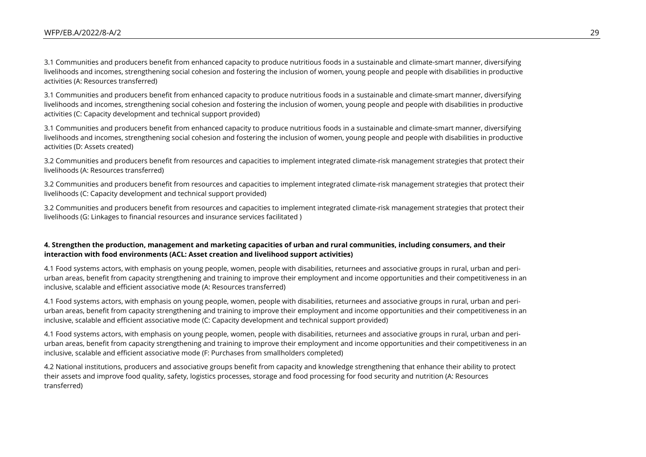3.1 Communities and producers benefit from enhanced capacity to produce nutritious foods in a sustainable and climate-smart manner, diversifying livelihoods and incomes, strengthening social cohesion and fostering the inclusion of women, young people and people with disabilities in productive activities (A: Resources transferred)

3.1 Communities and producers benefit from enhanced capacity to produce nutritious foods in a sustainable and climate-smart manner, diversifying livelihoods and incomes, strengthening social cohesion and fostering the inclusion of women, young people and people with disabilities in productive activities (C: Capacity development and technical support provided)

3.1 Communities and producers benefit from enhanced capacity to produce nutritious foods in a sustainable and climate-smart manner, diversifying livelihoods and incomes, strengthening social cohesion and fostering the inclusion of women, young people and people with disabilities in productive activities (D: Assets created)

3.2 Communities and producers benefit from resources and capacities to implement integrated climate-risk management strategies that protect their livelihoods (A: Resources transferred)

3.2 Communities and producers benefit from resources and capacities to implement integrated climate-risk management strategies that protect their livelihoods (C: Capacity development and technical support provided)

3.2 Communities and producers benefit from resources and capacities to implement integrated climate-risk management strategies that protect their livelihoods (G: Linkages to financial resources and insurance services facilitated )

#### **4. Strengthen the production, management and marketing capacities of urban and rural communities, including consumers, and their interaction with food environments (ACL: Asset creation and livelihood support activities)**

4.1 Food systems actors, with emphasis on young people, women, people with disabilities, returnees and associative groups in rural, urban and periurban areas, benefit from capacity strengthening and training to improve their employment and income opportunities and their competitiveness in an inclusive, scalable and efficient associative mode (A: Resources transferred)

4.1 Food systems actors, with emphasis on young people, women, people with disabilities, returnees and associative groups in rural, urban and periurban areas, benefit from capacity strengthening and training to improve their employment and income opportunities and their competitiveness in an inclusive, scalable and efficient associative mode (C: Capacity development and technical support provided)

4.1 Food systems actors, with emphasis on young people, women, people with disabilities, returnees and associative groups in rural, urban and periurban areas, benefit from capacity strengthening and training to improve their employment and income opportunities and their competitiveness in an inclusive, scalable and efficient associative mode (F: Purchases from smallholders completed)

4.2 National institutions, producers and associative groups benefit from capacity and knowledge strengthening that enhance their ability to protect their assets and improve food quality, safety, logistics processes, storage and food processing for food security and nutrition (A: Resources transferred)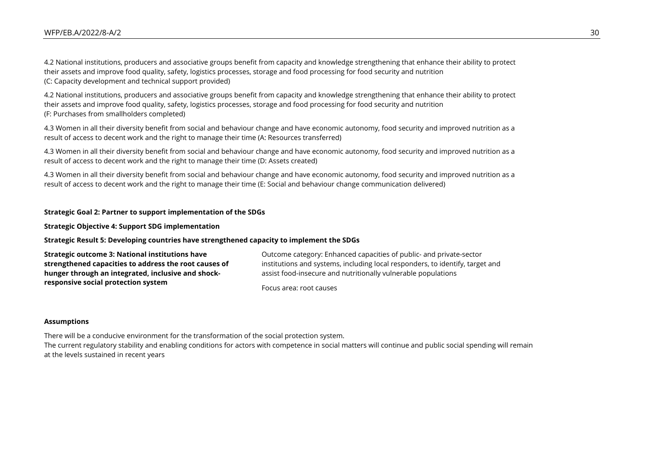4.2 National institutions, producers and associative groups benefit from capacity and knowledge strengthening that enhance their ability to protect their assets and improve food quality, safety, logistics processes, storage and food processing for food security and nutrition (C: Capacity development and technical support provided)

4.2 National institutions, producers and associative groups benefit from capacity and knowledge strengthening that enhance their ability to protect their assets and improve food quality, safety, logistics processes, storage and food processing for food security and nutrition (F: Purchases from smallholders completed)

4.3 Women in all their diversity benefit from social and behaviour change and have economic autonomy, food security and improved nutrition as a result of access to decent work and the right to manage their time (A: Resources transferred)

4.3 Women in all their diversity benefit from social and behaviour change and have economic autonomy, food security and improved nutrition as a result of access to decent work and the right to manage their time (D: Assets created)

4.3 Women in all their diversity benefit from social and behaviour change and have economic autonomy, food security and improved nutrition as a result of access to decent work and the right to manage their time (E: Social and behaviour change communication delivered)

#### **Strategic Goal 2: Partner to support implementation of the SDGs**

**Strategic Objective 4: Support SDG implementation**

#### **Strategic Result 5: Developing countries have strengthened capacity to implement the SDGs**

**Strategic outcome 3: National institutions have strengthened capacities to address the root causes of hunger through an integrated, inclusive and shockresponsive social protection system**

Outcome category: Enhanced capacities of public- and private-sector institutions and systems, including local responders, to identify, target and assist food-insecure and nutritionally vulnerable populations

Focus area: root causes

#### **Assumptions**

There will be a conducive environment for the transformation of the social protection system. The current regulatory stability and enabling conditions for actors with competence in social matters will continue and public social spending will remain at the levels sustained in recent years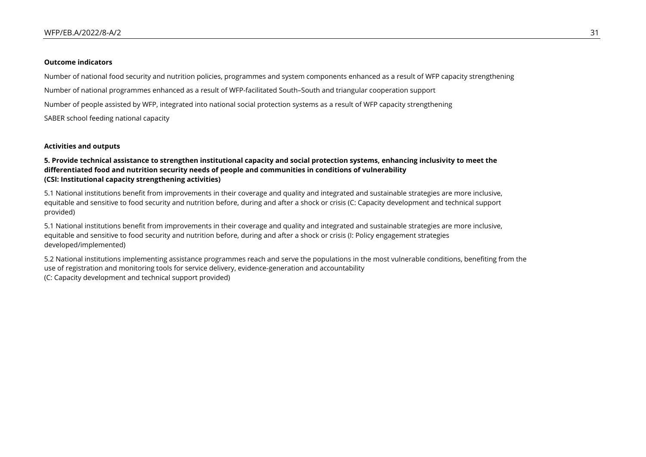#### **Outcome indicators**

Number of national food security and nutrition policies, programmes and system components enhanced as a result of WFP capacity strengthening

Number of national programmes enhanced as a result of WFP-facilitated South–South and triangular cooperation support

Number of people assisted by WFP, integrated into national social protection systems as a result of WFP capacity strengthening

SABER school feeding national capacity

#### **Activities and outputs**

#### **5. Provide technical assistance to strengthen institutional capacity and social protection systems, enhancing inclusivity to meet the differentiated food and nutrition security needs of people and communities in conditions of vulnerability (CSI: Institutional capacity strengthening activities)**

5.1 National institutions benefit from improvements in their coverage and quality and integrated and sustainable strategies are more inclusive, equitable and sensitive to food security and nutrition before, during and after a shock or crisis (C: Capacity development and technical support provided)

5.1 National institutions benefit from improvements in their coverage and quality and integrated and sustainable strategies are more inclusive, equitable and sensitive to food security and nutrition before, during and after a shock or crisis (I: Policy engagement strategies developed/implemented)

5.2 National institutions implementing assistance programmes reach and serve the populations in the most vulnerable conditions, benefiting from the use of registration and monitoring tools for service delivery, evidence-generation and accountability (C: Capacity development and technical support provided)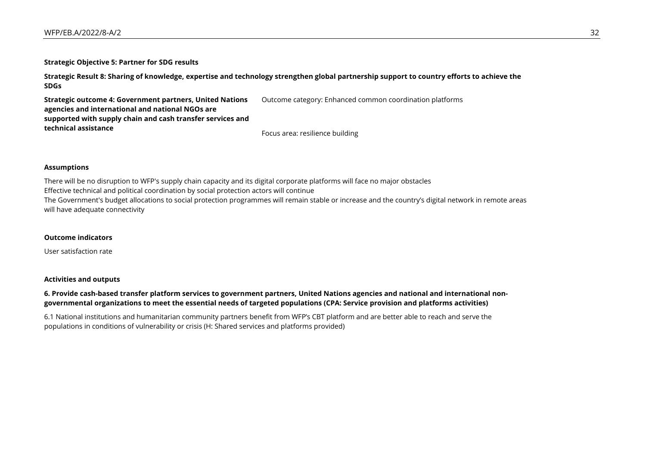**Strategic Objective 5: Partner for SDG results**

**Strategic Result 8: Sharing of knowledge, expertise and technology strengthen global partnership support to country efforts to achieve the SDGs**

Outcome category: Enhanced common coordination platforms

**Strategic outcome 4: Government partners, United Nations agencies and international and national NGOs are supported with supply chain and cash transfer services and technical assistance**

Focus area: resilience building

#### **Assumptions**

There will be no disruption to WFP's supply chain capacity and its digital corporate platforms will face no major obstacles Effective technical and political coordination by social protection actors will continue The Government's budget allocations to social protection programmes will remain stable or increase and the country's digital network in remote areas will have adequate connectivity

#### **Outcome indicators**

User satisfaction rate

#### **Activities and outputs**

#### **6. Provide cash-based transfer platform services to government partners, United Nations agencies and national and international nongovernmental organizations to meet the essential needs of targeted populations (CPA: Service provision and platforms activities)**

6.1 National institutions and humanitarian community partners benefit from WFP's CBT platform and are better able to reach and serve the populations in conditions of vulnerability or crisis (H: Shared services and platforms provided)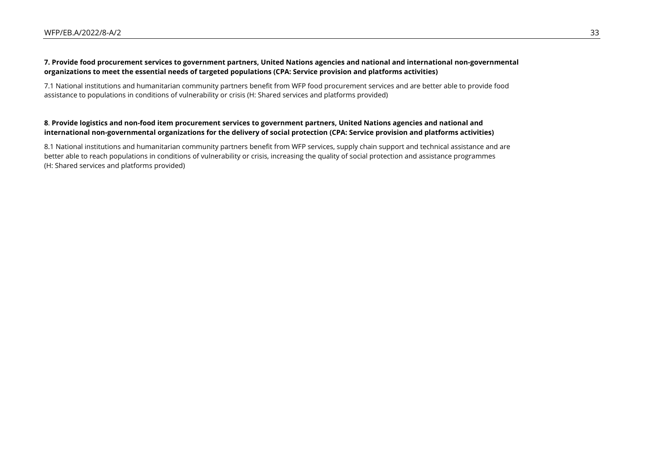#### **7. Provide food procurement services to government partners, United Nations agencies and national and international non-governmental organizations to meet the essential needs of targeted populations (CPA: Service provision and platforms activities)**

7.1 National institutions and humanitarian community partners benefit from WFP food procurement services and are better able to provide food assistance to populations in conditions of vulnerability or crisis (H: Shared services and platforms provided)

#### **8**. **Provide logistics and non-food item procurement services to government partners, United Nations agencies and national and international non-governmental organizations for the delivery of social protection (CPA: Service provision and platforms activities)**

8.1 National institutions and humanitarian community partners benefit from WFP services, supply chain support and technical assistance and are better able to reach populations in conditions of vulnerability or crisis, increasing the quality of social protection and assistance programmes (H: Shared services and platforms provided)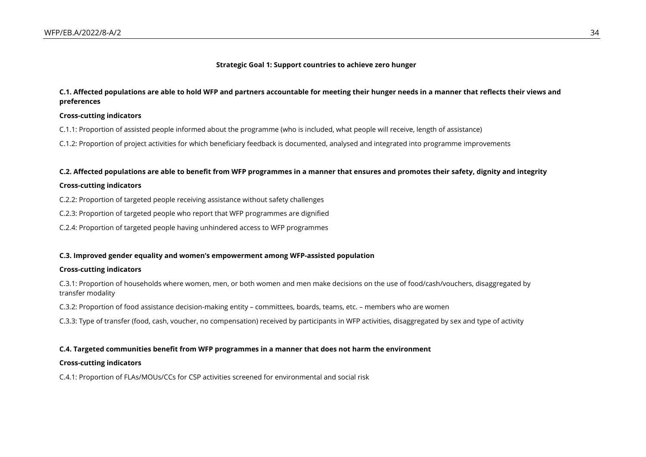#### **Strategic Goal 1: Support countries to achieve zero hunger**

#### **C.1. Affected populations are able to hold WFP and partners accountable for meeting their hunger needs in a manner that reflects their views and preferences**

#### **Cross-cutting indicators**

C.1.1: Proportion of assisted people informed about the programme (who is included, what people will receive, length of assistance)

C.1.2: Proportion of project activities for which beneficiary feedback is documented, analysed and integrated into programme improvements

#### **C.2. Affected populations are able to benefit from WFP programmes in a manner that ensures and promotes their safety, dignity and integrity**

#### **Cross-cutting indicators**

C.2.2: Proportion of targeted people receiving assistance without safety challenges

C.2.3: Proportion of targeted people who report that WFP programmes are dignified

C.2.4: Proportion of targeted people having unhindered access to WFP programmes

#### **C.3. Improved gender equality and women's empowerment among WFP-assisted population**

#### **Cross-cutting indicators**

C.3.1: Proportion of households where women, men, or both women and men make decisions on the use of food/cash/vouchers, disaggregated by transfer modality

C.3.2: Proportion of food assistance decision-making entity – committees, boards, teams, etc. – members who are women

C.3.3: Type of transfer (food, cash, voucher, no compensation) received by participants in WFP activities, disaggregated by sex and type of activity

#### **C.4. Targeted communities benefit from WFP programmes in a manner that does not harm the environment**

#### **Cross-cutting indicators**

C.4.1: Proportion of FLAs/MOUs/CCs for CSP activities screened for environmental and social risk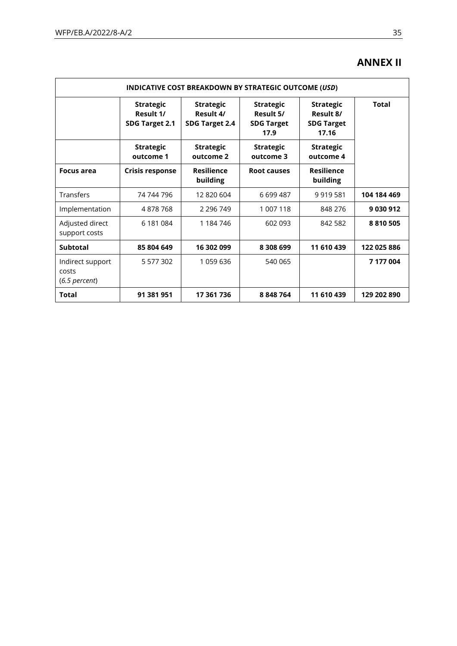## **ANNEX II**

| INDICATIVE COST BREAKDOWN BY STRATEGIC OUTCOME (USD) |                                                 |                                                 |                                                            |                                                             |              |  |  |
|------------------------------------------------------|-------------------------------------------------|-------------------------------------------------|------------------------------------------------------------|-------------------------------------------------------------|--------------|--|--|
|                                                      | <b>Strategic</b><br>Result 1/<br>SDG Target 2.1 | <b>Strategic</b><br>Result 4/<br>SDG Target 2.4 | <b>Strategic</b><br>Result 5/<br><b>SDG Target</b><br>17.9 | <b>Strategic</b><br>Result 8/<br><b>SDG Target</b><br>17.16 | <b>Total</b> |  |  |
|                                                      | <b>Strategic</b><br>outcome 1                   | <b>Strategic</b><br>outcome 2                   | <b>Strategic</b><br>outcome 3                              | <b>Strategic</b><br>outcome 4                               |              |  |  |
| Focus area                                           | Crisis response                                 | <b>Resilience</b><br>building                   | Root causes                                                | <b>Resilience</b><br>building                               |              |  |  |
| <b>Transfers</b>                                     | 74 744 796                                      | 12 820 604                                      | 6699487                                                    | 9 9 1 9 5 8 1                                               | 104 184 469  |  |  |
| Implementation                                       | 4878768                                         | 2 2 9 6 7 4 9                                   | 1 007 118                                                  | 848 276                                                     | 9030912      |  |  |
| Adjusted direct<br>support costs                     | 6 181 084                                       | 1 184 746                                       | 602 093                                                    | 842 582                                                     | 8 8 10 5 0 5 |  |  |
| <b>Subtotal</b>                                      | 85 804 649                                      | 16 302 099                                      | 8 308 699                                                  | 11 610 439                                                  | 122 025 886  |  |  |
| Indirect support<br>costs<br>$(6.5$ percent)         | 5 577 302                                       | 1 059 636                                       | 540 065                                                    |                                                             | 7 177 004    |  |  |
| Total                                                | 91 381 951                                      | 17 361 736                                      | 8 848 764                                                  | 11 610 439                                                  | 129 202 890  |  |  |